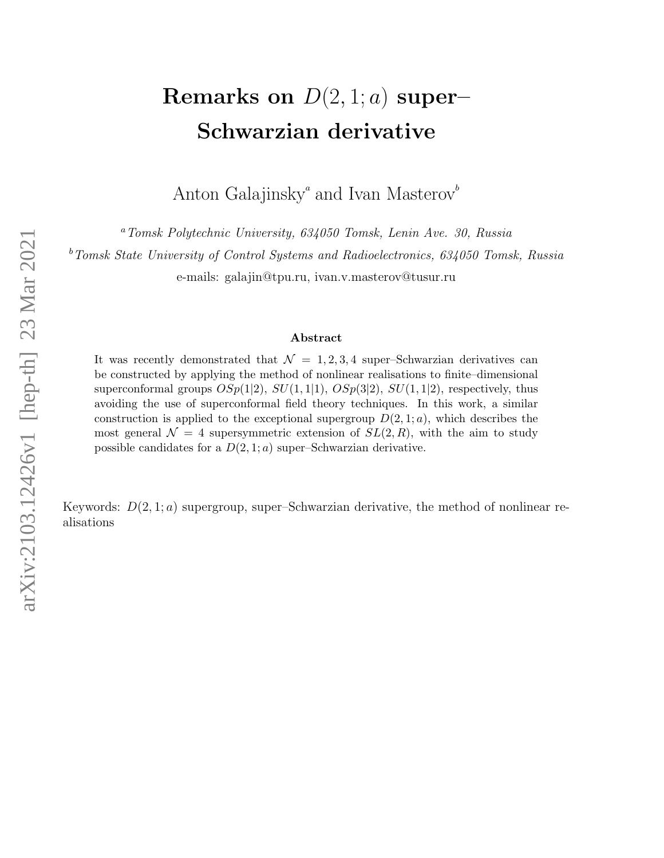# Remarks on  $D(2,1; a)$  super-Schwarzian derivative

Anton Galajinsky<sup> $^a$ </sup> and Ivan Masterov<sup>b</sup>

<sup>a</sup>Tomsk Polytechnic University, 634050 Tomsk, Lenin Ave. 30, Russia

<sup>b</sup>Tomsk State University of Control Systems and Radioelectronics, 634050 Tomsk, Russia

e-mails: galajin@tpu.ru, ivan.v.masterov@tusur.ru

# Abstract

It was recently demonstrated that  $\mathcal{N} = 1, 2, 3, 4$  super-Schwarzian derivatives can be constructed by applying the method of nonlinear realisations to finite–dimensional superconformal groups  $OSp(1|2)$ ,  $SU(1,1|1)$ ,  $OSp(3|2)$ ,  $SU(1,1|2)$ , respectively, thus avoiding the use of superconformal field theory techniques. In this work, a similar construction is applied to the exceptional supergroup  $D(2, 1; a)$ , which describes the most general  $\mathcal{N} = 4$  supersymmetric extension of  $SL(2, R)$ , with the aim to study possible candidates for a  $D(2, 1; a)$  super–Schwarzian derivative.

Keywords:  $D(2, 1; a)$  supergroup, super–Schwarzian derivative, the method of nonlinear realisations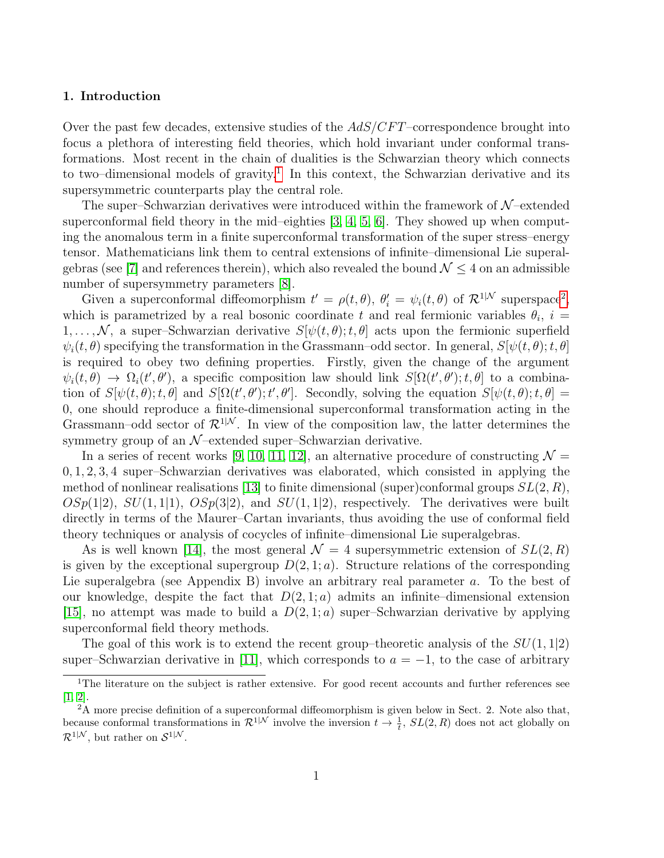# 1. Introduction

Over the past few decades, extensive studies of the  $AdS/CFT$ –correspondence brought into focus a plethora of interesting field theories, which hold invariant under conformal transformations. Most recent in the chain of dualities is the Schwarzian theory which connects to two–dimensional models of gravity.<sup>[1](#page-1-0)</sup> In this context, the Schwarzian derivative and its supersymmetric counterparts play the central role.

The super–Schwarzian derivatives were introduced within the framework of  $\mathcal{N}-$ extended superconformal field theory in the mid–eighties  $[3, 4, 5, 6]$  $[3, 4, 5, 6]$  $[3, 4, 5, 6]$  $[3, 4, 5, 6]$ . They showed up when computing the anomalous term in a finite superconformal transformation of the super stress–energy tensor. Mathematicians link them to central extensions of infinite–dimensional Lie superal-gebras (see [\[7\]](#page-21-4) and references therein), which also revealed the bound  $\mathcal{N} \leq 4$  on an admissible number of supersymmetry parameters [\[8\]](#page-21-5).

Given a superconformal diffeomorphism  $t' = \rho(t, \theta)$ ,  $\theta'_i = \psi_i(t, \theta)$  of  $\mathcal{R}^{1|\mathcal{N}}$  superspace<sup>[2](#page-1-1)</sup>, which is parametrized by a real bosonic coordinate t and real fermionic variables  $\theta_i$ ,  $i =$  $1, \ldots, \mathcal{N}$ , a super–Schwarzian derivative  $S[\psi(t, \theta); t, \theta]$  acts upon the fermionic superfield  $\psi_i(t, \theta)$  specifying the transformation in the Grassmann–odd sector. In general,  $S[\psi(t, \theta); t, \theta]$ is required to obey two defining properties. Firstly, given the change of the argument  $\psi_i(t,\theta) \to \Omega_i(t',\theta')$ , a specific composition law should link  $S[\Omega(t',\theta');t,\theta]$  to a combination of  $S[\psi(t,\theta);t,\theta]$  and  $S[\Omega(t',\theta');t',\theta']$ . Secondly, solving the equation  $S[\psi(t,\theta);t,\theta] =$ 0, one should reproduce a finite-dimensional superconformal transformation acting in the Grassmann–odd sector of  $\mathcal{R}^{1|\mathcal{N}}$ . In view of the composition law, the latter determines the symmetry group of an  $\mathcal{N}$ -extended super–Schwarzian derivative.

In a series of recent works [\[9,](#page-21-6) [10,](#page-21-7) [11,](#page-21-8) [12\]](#page-21-9), an alternative procedure of constructing  $\mathcal{N} =$ 0, 1, 2, 3, 4 super–Schwarzian derivatives was elaborated, which consisted in applying the method of nonlinear realisations [\[13\]](#page-21-10) to finite dimensional (super)conformal groups  $SL(2, R)$ ,  $OSp(1|2)$ ,  $SU(1,1|1)$ ,  $OSp(3|2)$ , and  $SU(1,1|2)$ , respectively. The derivatives were built directly in terms of the Maurer–Cartan invariants, thus avoiding the use of conformal field theory techniques or analysis of cocycles of infinite–dimensional Lie superalgebras.

As is well known [\[14\]](#page-21-11), the most general  $\mathcal{N} = 4$  supersymmetric extension of  $SL(2, R)$ is given by the exceptional supergroup  $D(2, 1; a)$ . Structure relations of the corresponding Lie superalgebra (see Appendix B) involve an arbitrary real parameter a. To the best of our knowledge, despite the fact that  $D(2, 1; a)$  admits an infinite–dimensional extension [\[15\]](#page-22-0), no attempt was made to build a  $D(2,1;a)$  super-Schwarzian derivative by applying superconformal field theory methods.

The goal of this work is to extend the recent group–theoretic analysis of the  $SU(1, 1|2)$ super–Schwarzian derivative in [\[11\]](#page-21-8), which corresponds to  $a = -1$ , to the case of arbitrary

<span id="page-1-0"></span><sup>&</sup>lt;sup>1</sup>The literature on the subject is rather extensive. For good recent accounts and further references see [\[1,](#page-21-12) [2\]](#page-21-13).

<span id="page-1-1"></span> $2A^2$  more precise definition of a superconformal diffeomorphism is given below in Sect. 2. Note also that, because conformal transformations in  $\mathcal{R}^{1|\mathcal{N}}$  involve the inversion  $t \to \frac{1}{t}$ ,  $SL(2,R)$  does not act globally on  $\mathcal{R}^{1|\mathcal{N}}$ , but rather on  $\mathcal{S}^{1|\mathcal{N}}$ .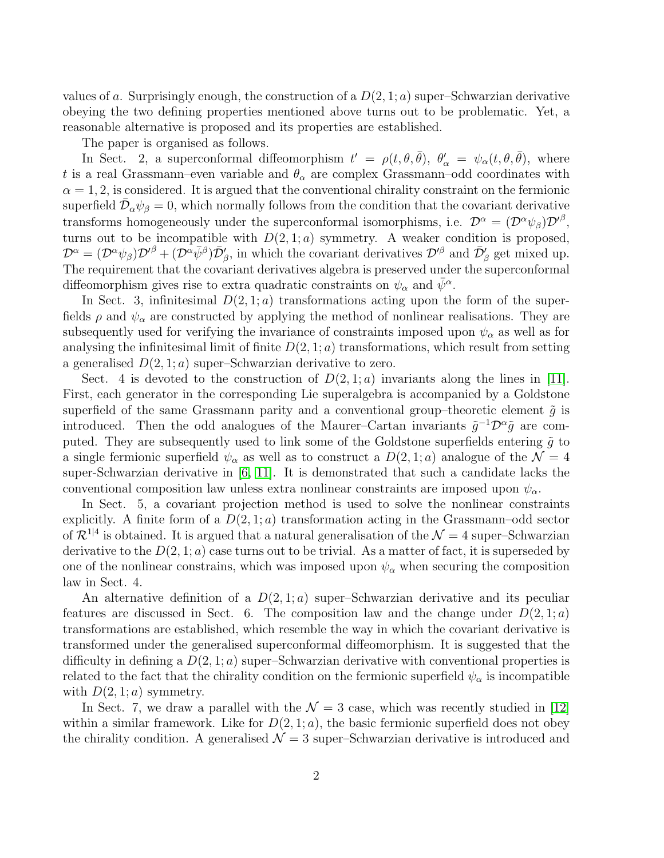values of a. Surprisingly enough, the construction of a  $D(2, 1; a)$  super–Schwarzian derivative obeying the two defining properties mentioned above turns out to be problematic. Yet, a reasonable alternative is proposed and its properties are established.

The paper is organised as follows.

In Sect. 2, a superconformal diffeomorphism  $t' = \rho(t, \theta, \bar{\theta}), \theta'_{\alpha} = \psi_{\alpha}(t, \theta, \bar{\theta}),$  where t is a real Grassmann–even variable and  $\theta_{\alpha}$  are complex Grassmann–odd coordinates with  $\alpha = 1, 2$ , is considered. It is argued that the conventional chirality constraint on the fermionic superfield  $\bar{\mathcal{D}}_{\alpha}\psi_{\beta}=0$ , which normally follows from the condition that the covariant derivative transforms homogeneously under the superconformal isomorphisms, i.e.  $\mathcal{D}^{\alpha} = (\mathcal{D}^{\alpha}\psi_{\beta})\mathcal{D}'^{\beta}$ , turns out to be incompatible with  $D(2, 1; a)$  symmetry. A weaker condition is proposed,  $\mathcal{D}^{\alpha} = (\mathcal{D}^{\alpha}\psi_{\beta})\mathcal{D}'^{\beta} + (\mathcal{D}^{\alpha}\bar{\psi}^{\beta})\bar{\mathcal{D}}'_{\beta}$ , in which the covariant derivatives  $\mathcal{D}'^{\beta}$  and  $\bar{\mathcal{D}}'_{\beta}$  get mixed up. The requirement that the covariant derivatives algebra is preserved under the superconformal diffeomorphism gives rise to extra quadratic constraints on  $\psi_{\alpha}$  and  $\bar{\psi}^{\alpha}$ .

In Sect. 3, infinitesimal  $D(2, 1; a)$  transformations acting upon the form of the superfields  $\rho$  and  $\psi_{\alpha}$  are constructed by applying the method of nonlinear realisations. They are subsequently used for verifying the invariance of constraints imposed upon  $\psi_{\alpha}$  as well as for analysing the infinitesimal limit of finite  $D(2, 1; a)$  transformations, which result from setting a generalised  $D(2, 1; a)$  super-Schwarzian derivative to zero.

Sect. 4 is devoted to the construction of  $D(2,1;a)$  invariants along the lines in [\[11\]](#page-21-8). First, each generator in the corresponding Lie superalgebra is accompanied by a Goldstone superfield of the same Grassmann parity and a conventional group–theoretic element  $\tilde{g}$  is introduced. Then the odd analogues of the Maurer–Cartan invariants  $\tilde{g}^{-1} \mathcal{D}^{\alpha} \tilde{g}$  are computed. They are subsequently used to link some of the Goldstone superfields entering  $\tilde{q}$  to a single fermionic superfield  $\psi_{\alpha}$  as well as to construct a  $D(2, 1; a)$  analogue of the  $\mathcal{N} = 4$ super-Schwarzian derivative in [\[6,](#page-21-3) [11\]](#page-21-8). It is demonstrated that such a candidate lacks the conventional composition law unless extra nonlinear constraints are imposed upon  $\psi_{\alpha}$ .

In Sect. 5, a covariant projection method is used to solve the nonlinear constraints explicitly. A finite form of a  $D(2,1;a)$  transformation acting in the Grassmann–odd sector of  $\mathcal{R}^{1|4}$  is obtained. It is argued that a natural generalisation of the  $\mathcal{N}=4$  super–Schwarzian derivative to the  $D(2, 1; a)$  case turns out to be trivial. As a matter of fact, it is superseded by one of the nonlinear constrains, which was imposed upon  $\psi_{\alpha}$  when securing the composition law in Sect. 4.

An alternative definition of a  $D(2, 1; a)$  super-Schwarzian derivative and its peculiar features are discussed in Sect. 6. The composition law and the change under  $D(2, 1; a)$ transformations are established, which resemble the way in which the covariant derivative is transformed under the generalised superconformal diffeomorphism. It is suggested that the difficulty in defining a  $D(2, 1; a)$  super–Schwarzian derivative with conventional properties is related to the fact that the chirality condition on the fermionic superfield  $\psi_{\alpha}$  is incompatible with  $D(2, 1; a)$  symmetry.

In Sect. 7, we draw a parallel with the  $\mathcal{N} = 3$  case, which was recently studied in [\[12\]](#page-21-9) within a similar framework. Like for  $D(2, 1; a)$ , the basic fermionic superfield does not obey the chirality condition. A generalised  $\mathcal{N} = 3$  super–Schwarzian derivative is introduced and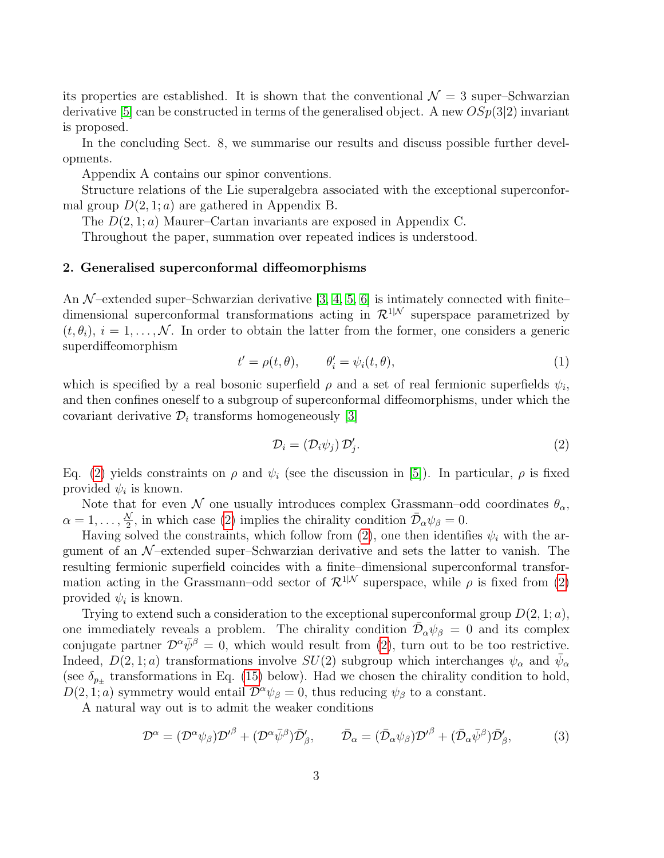its properties are established. It is shown that the conventional  $\mathcal{N} = 3$  super–Schwarzian derivative [\[5\]](#page-21-2) can be constructed in terms of the generalised object. A new  $OSp(3|2)$  invariant is proposed.

In the concluding Sect. 8, we summarise our results and discuss possible further developments.

Appendix A contains our spinor conventions.

Structure relations of the Lie superalgebra associated with the exceptional superconformal group  $D(2, 1; a)$  are gathered in Appendix B.

The  $D(2, 1; a)$  Maurer–Cartan invariants are exposed in Appendix C.

Throughout the paper, summation over repeated indices is understood.

# 2. Generalised superconformal diffeomorphisms

An  $\mathcal{N}$ -extended super–Schwarzian derivative [\[3,](#page-21-0) [4,](#page-21-1) [5,](#page-21-2) [6\]](#page-21-3) is intimately connected with finite– dimensional superconformal transformations acting in  $\mathcal{R}^{1|\mathcal{N}}$  superspace parametrized by  $(t, \theta_i), i = 1, \ldots, \mathcal{N}$ . In order to obtain the latter from the former, one considers a generic superdiffeomorphism

$$
t' = \rho(t, \theta), \qquad \theta_i' = \psi_i(t, \theta), \tag{1}
$$

which is specified by a real bosonic superfield  $\rho$  and a set of real fermionic superfields  $\psi_i$ , and then confines oneself to a subgroup of superconformal diffeomorphisms, under which the covariant derivative  $\mathcal{D}_i$  transforms homogeneously [\[3\]](#page-21-0)

<span id="page-3-0"></span>
$$
\mathcal{D}_i = (\mathcal{D}_i \psi_j) \mathcal{D}'_j. \tag{2}
$$

Eq. [\(2\)](#page-3-0) yields constraints on  $\rho$  and  $\psi_i$  (see the discussion in [\[5\]](#page-21-2)). In particular,  $\rho$  is fixed provided  $\psi_i$  is known.

Note that for even N one usually introduces complex Grassmann–odd coordinates  $\theta_{\alpha}$ ,  $\alpha=1,\ldots,\frac{N}{2}$  $\frac{\sqrt{2}}{2}$ , in which case [\(2\)](#page-3-0) implies the chirality condition  $\bar{\mathcal{D}}_{\alpha}\psi_{\beta}=0$ .

Having solved the constraints, which follow from [\(2\)](#page-3-0), one then identifies  $\psi_i$  with the argument of an  $\mathcal{N}-$ extended super–Schwarzian derivative and sets the latter to vanish. The resulting fermionic superfield coincides with a finite–dimensional superconformal transformation acting in the Grassmann–odd sector of  $\mathcal{R}^{1|\mathcal{N}}$  superspace, while  $\rho$  is fixed from [\(2\)](#page-3-0) provided  $\psi_i$  is known.

Trying to extend such a consideration to the exceptional superconformal group  $D(2, 1; a)$ , one immediately reveals a problem. The chirality condition  $\bar{\mathcal{D}}_{\alpha}\psi_{\beta} = 0$  and its complex conjugate partner  $\mathcal{D}^{\alpha}\bar{\psi}^{\beta} = 0$ , which would result from [\(2\)](#page-3-0), turn out to be too restrictive. Indeed,  $D(2,1;a)$  transformations involve  $SU(2)$  subgroup which interchanges  $\psi_{\alpha}$  and  $\bar{\psi}_{\alpha}$ (see  $\delta_{p+}$  transformations in Eq. [\(15\)](#page-6-0) below). Had we chosen the chirality condition to hold,  $D(2, 1; a)$  symmetry would entail  $\mathcal{D}^{\alpha}\psi_{\beta} = 0$ , thus reducing  $\psi_{\beta}$  to a constant.

A natural way out is to admit the weaker conditions

<span id="page-3-1"></span>
$$
\mathcal{D}^{\alpha} = (\mathcal{D}^{\alpha}\psi_{\beta})\mathcal{D}'^{\beta} + (\mathcal{D}^{\alpha}\bar{\psi}^{\beta})\bar{\mathcal{D}}'_{\beta}, \qquad \bar{\mathcal{D}}_{\alpha} = (\bar{\mathcal{D}}_{\alpha}\psi_{\beta})\mathcal{D}'^{\beta} + (\bar{\mathcal{D}}_{\alpha}\bar{\psi}^{\beta})\bar{\mathcal{D}}'_{\beta}, \tag{3}
$$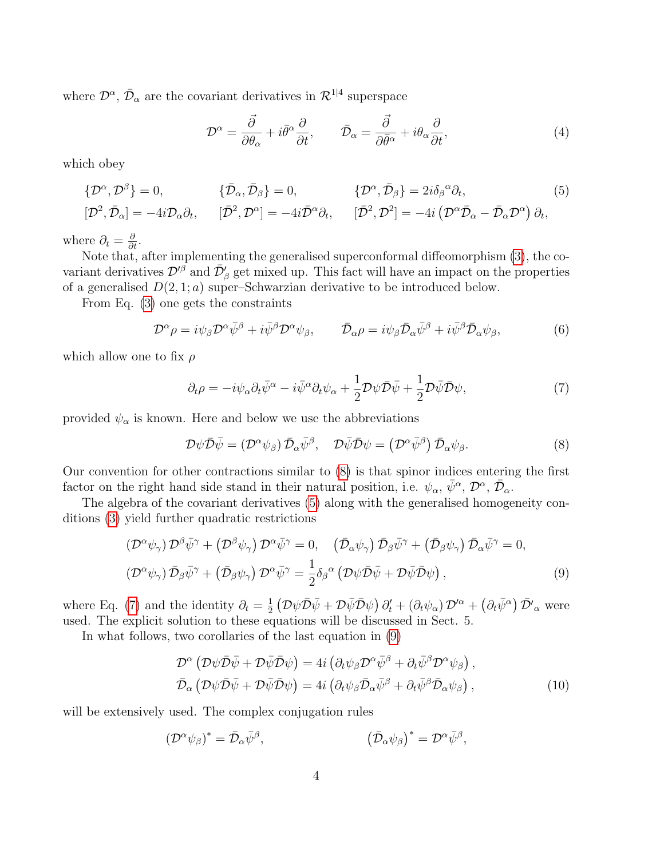where  $\mathcal{D}^{\alpha}$ ,  $\bar{\mathcal{D}}_{\alpha}$  are the covariant derivatives in  $\mathcal{R}^{1|4}$  superspace

<span id="page-4-1"></span>
$$
\mathcal{D}^{\alpha} = \frac{\vec{\partial}}{\partial \theta_{\alpha}} + i\bar{\theta}^{\alpha} \frac{\partial}{\partial t}, \qquad \bar{\mathcal{D}}_{\alpha} = \frac{\vec{\partial}}{\partial \bar{\theta}^{\alpha}} + i\theta_{\alpha} \frac{\partial}{\partial t}, \tag{4}
$$

which obey

$$
\{\mathcal{D}^{\alpha}, \mathcal{D}^{\beta}\} = 0, \qquad \{\bar{\mathcal{D}}_{\alpha}, \bar{\mathcal{D}}_{\beta}\} = 0, \qquad \{\mathcal{D}^{\alpha}, \bar{\mathcal{D}}_{\beta}\} = 2i\delta_{\beta}{}^{\alpha}\partial_{t}, \qquad (5)
$$

$$
[\mathcal{D}^{2}, \bar{\mathcal{D}}_{\alpha}] = -4i\mathcal{D}_{\alpha}\partial_{t}, \qquad [\bar{\mathcal{D}}^{2}, \mathcal{D}^{\alpha}] = -4i\bar{\mathcal{D}}{}^{\alpha}\partial_{t}, \qquad [\bar{\mathcal{D}}^{2}, \mathcal{D}^{2}] = -4i\left(\mathcal{D}^{\alpha}\bar{\mathcal{D}}_{\alpha} - \bar{\mathcal{D}}_{\alpha}\mathcal{D}^{\alpha}\right)\partial_{t},
$$

where  $\partial_t = \frac{\partial}{\partial t}$ .

Note that, after implementing the generalised superconformal diffeomorphism [\(3\)](#page-3-1), the covariant derivatives  $\mathcal{D}'^{\beta}$  and  $\bar{\mathcal{D}}'_{\beta}$  get mixed up. This fact will have an impact on the properties of a generalised  $D(2, 1; a)$  super-Schwarzian derivative to be introduced below.

From Eq. [\(3\)](#page-3-1) one gets the constraints

<span id="page-4-4"></span>
$$
\mathcal{D}^{\alpha}\rho = i\psi_{\beta}\mathcal{D}^{\alpha}\bar{\psi}^{\beta} + i\bar{\psi}^{\beta}\mathcal{D}^{\alpha}\psi_{\beta}, \qquad \bar{\mathcal{D}}_{\alpha}\rho = i\psi_{\beta}\bar{\mathcal{D}}_{\alpha}\bar{\psi}^{\beta} + i\bar{\psi}^{\beta}\bar{\mathcal{D}}_{\alpha}\psi_{\beta}, \tag{6}
$$

which allow one to fix  $\rho$ 

<span id="page-4-2"></span>
$$
\partial_t \rho = -i\psi_\alpha \partial_t \bar{\psi}^\alpha - i\bar{\psi}^\alpha \partial_t \psi_\alpha + \frac{1}{2} \mathcal{D}\psi \bar{\mathcal{D}} \bar{\psi} + \frac{1}{2} \mathcal{D}\bar{\psi} \bar{\mathcal{D}} \psi, \tag{7}
$$

provided  $\psi_{\alpha}$  is known. Here and below we use the abbreviations

<span id="page-4-0"></span>
$$
\mathcal{D}\psi\bar{\mathcal{D}}\bar{\psi} = (\mathcal{D}^{\alpha}\psi_{\beta})\bar{\mathcal{D}}_{\alpha}\bar{\psi}^{\beta}, \quad \mathcal{D}\bar{\psi}\bar{\mathcal{D}}\psi = (\mathcal{D}^{\alpha}\bar{\psi}^{\beta})\bar{\mathcal{D}}_{\alpha}\psi_{\beta}.
$$
\n(8)

Our convention for other contractions similar to [\(8\)](#page-4-0) is that spinor indices entering the first factor on the right hand side stand in their natural position, i.e.  $\psi_{\alpha}, \bar{\psi}^{\alpha}, \mathcal{D}^{\alpha}, \bar{\mathcal{D}}_{\alpha}$ .

The algebra of the covariant derivatives [\(5\)](#page-4-1) along with the generalised homogeneity conditions [\(3\)](#page-3-1) yield further quadratic restrictions

<span id="page-4-3"></span>
$$
\left(\mathcal{D}^{\alpha}\psi_{\gamma}\right)\mathcal{D}^{\beta}\bar{\psi}^{\gamma}+\left(\mathcal{D}^{\beta}\psi_{\gamma}\right)\mathcal{D}^{\alpha}\bar{\psi}^{\gamma}=0, \quad \left(\bar{\mathcal{D}}_{\alpha}\psi_{\gamma}\right)\bar{\mathcal{D}}_{\beta}\bar{\psi}^{\gamma}+\left(\bar{\mathcal{D}}_{\beta}\psi_{\gamma}\right)\bar{\mathcal{D}}_{\alpha}\bar{\psi}^{\gamma}=0, \left(\mathcal{D}^{\alpha}\psi_{\gamma}\right)\bar{\mathcal{D}}_{\beta}\bar{\psi}^{\gamma}+\left(\bar{\mathcal{D}}_{\beta}\psi_{\gamma}\right)\mathcal{D}^{\alpha}\bar{\psi}^{\gamma}=\frac{1}{2}\delta_{\beta}^{\alpha}\left(\mathcal{D}\psi\bar{\mathcal{D}}\bar{\psi}+\mathcal{D}\bar{\psi}\bar{\mathcal{D}}\psi\right),
$$
\n(9)

where Eq. [\(7\)](#page-4-2) and the identity  $\partial_t = \frac{1}{2}$  $\frac{1}{2} \left( \mathcal{D}\psi \bar{\mathcal{D}}\bar{\psi} + \mathcal{D}\bar{\psi} \bar{\mathcal{D}}\psi \right) \partial_t' + \left( \partial_t \psi_\alpha \right) \mathcal{D}'^\alpha + \left( \partial_t \bar{\psi}^\alpha \right) \bar{\mathcal{D}}'_{\alpha}$  were used. The explicit solution to these equations will be discussed in Sect. 5.

In what follows, two corollaries of the last equation in [\(9\)](#page-4-3)

<span id="page-4-5"></span>
$$
\mathcal{D}^{\alpha} \left( \mathcal{D} \psi \bar{\mathcal{D}} \bar{\psi} + \mathcal{D} \bar{\psi} \bar{\mathcal{D}} \psi \right) = 4i \left( \partial_t \psi_{\beta} \mathcal{D}^{\alpha} \bar{\psi}^{\beta} + \partial_t \bar{\psi}^{\beta} \mathcal{D}^{\alpha} \psi_{\beta} \right),
$$
  
\n
$$
\bar{\mathcal{D}}_{\alpha} \left( \mathcal{D} \psi \bar{\mathcal{D}} \bar{\psi} + \mathcal{D} \bar{\psi} \bar{\mathcal{D}} \psi \right) = 4i \left( \partial_t \psi_{\beta} \bar{\mathcal{D}}_{\alpha} \bar{\psi}^{\beta} + \partial_t \bar{\psi}^{\beta} \bar{\mathcal{D}}_{\alpha} \psi_{\beta} \right),
$$
\n(10)

will be extensively used. The complex conjugation rules

$$
(\mathcal{D}^{\alpha}\psi_{\beta})^* = \bar{\mathcal{D}}_{\alpha}\bar{\psi}^{\beta}, \qquad (\bar{\mathcal{D}}_{\alpha}\psi_{\beta})^* = \mathcal{D}^{\alpha}\bar{\psi}^{\beta},
$$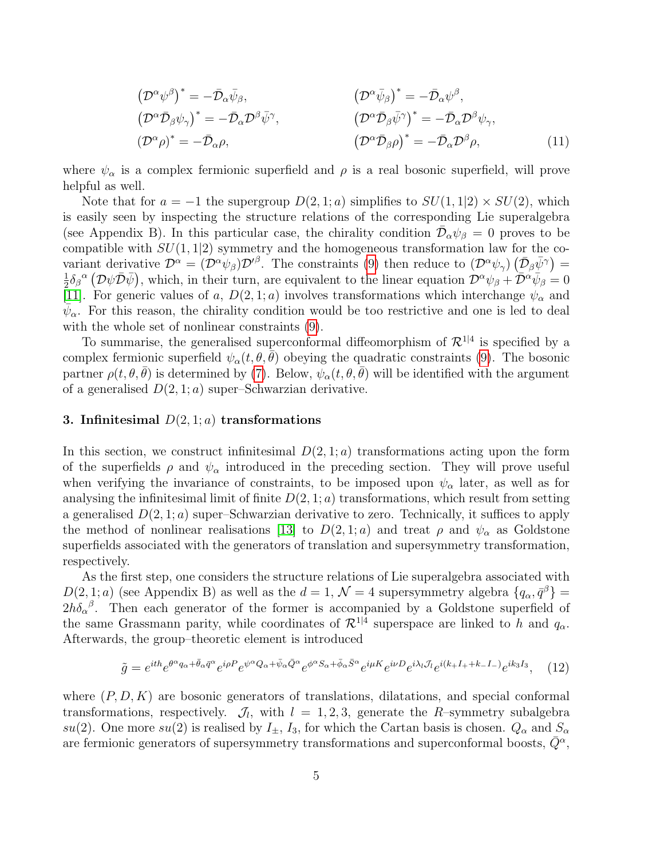$$
(\mathcal{D}^{\alpha}\psi^{\beta})^* = -\bar{\mathcal{D}}_{\alpha}\bar{\psi}_{\beta}, \qquad (\mathcal{D}^{\alpha}\bar{\psi}_{\beta})^* = -\bar{\mathcal{D}}_{\alpha}\psi^{\beta}, \n(\mathcal{D}^{\alpha}\bar{\mathcal{D}}_{\beta}\psi_{\gamma})^* = -\bar{\mathcal{D}}_{\alpha}\mathcal{D}^{\beta}\bar{\psi}^{\gamma}, \qquad (\mathcal{D}^{\alpha}\bar{\mathcal{D}}_{\beta}\bar{\psi}^{\gamma})^* = -\bar{\mathcal{D}}_{\alpha}\mathcal{D}^{\beta}\psi_{\gamma}, \n(\mathcal{D}^{\alpha}\bar{\mathcal{D}}_{\beta}\rho)^* = -\bar{\mathcal{D}}_{\alpha}\mathcal{D}^{\beta}\rho, \qquad (11)
$$

where  $\psi_{\alpha}$  is a complex fermionic superfield and  $\rho$  is a real bosonic superfield, will prove helpful as well.

Note that for  $a = -1$  the supergroup  $D(2, 1; a)$  simplifies to  $SU(1, 1|2) \times SU(2)$ , which is easily seen by inspecting the structure relations of the corresponding Lie superalgebra (see Appendix B). In this particular case, the chirality condition  $\overline{\mathcal{D}}_{\alpha}\psi_{\beta} = 0$  proves to be compatible with  $SU(1, 1|2)$  symmetry and the homogeneous transformation law for the covariant derivative  $\mathcal{D}^{\alpha} = (\mathcal{D}^{\alpha} \psi_{\beta}) \mathcal{D}'^{\beta}$ . The constraints [\(9\)](#page-4-3) then reduce to  $(\mathcal{D}^{\alpha} \psi_{\gamma}) (\bar{\mathcal{D}}_{\beta} \bar{\psi}^{\gamma}) =$ 1  $\frac{1}{2}\delta_{\beta}{}^{\alpha}(\mathcal{D}\psi\bar{\mathcal{D}}\bar{\psi}),$  which, in their turn, are equivalent to the linear equation  $\mathcal{D}^{\alpha}\psi_{\beta} + \overline{\mathcal{D}}^{\alpha}\dot{\psi}_{\beta} = 0$ [\[11\]](#page-21-8). For generic values of a,  $D(2,1;a)$  involves transformations which interchange  $\psi_{\alpha}$  and  $\bar{\psi}_{\alpha}$ . For this reason, the chirality condition would be too restrictive and one is led to deal with the whole set of nonlinear constraints [\(9\)](#page-4-3).

To summarise, the generalised superconformal diffeomorphism of  $\mathcal{R}^{1|4}$  is specified by a complex fermionic superfield  $\psi_{\alpha}(t, \theta, \bar{\theta})$  obeying the quadratic constraints [\(9\)](#page-4-3). The bosonic partner  $\rho(t, \theta, \theta)$  is determined by [\(7\)](#page-4-2). Below,  $\psi_{\alpha}(t, \theta, \theta)$  will be identified with the argument of a generalised  $D(2, 1; a)$  super–Schwarzian derivative.

# 3. Infinitesimal  $D(2, 1; a)$  transformations

In this section, we construct infinitesimal  $D(2,1;a)$  transformations acting upon the form of the superfields  $\rho$  and  $\psi_{\alpha}$  introduced in the preceding section. They will prove useful when verifying the invariance of constraints, to be imposed upon  $\psi_{\alpha}$  later, as well as for analysing the infinitesimal limit of finite  $D(2, 1; a)$  transformations, which result from setting a generalised  $D(2, 1; a)$  super-Schwarzian derivative to zero. Technically, it suffices to apply the method of nonlinear realisations [\[13\]](#page-21-10) to  $D(2,1;a)$  and treat  $\rho$  and  $\psi_{\alpha}$  as Goldstone superfields associated with the generators of translation and supersymmetry transformation, respectively.

As the first step, one considers the structure relations of Lie superalgebra associated with  $D(2,1;a)$  (see Appendix B) as well as the  $d=1, \mathcal{N}=4$  supersymmetry algebra  $\{q_\alpha, \bar{q}^\beta\} =$  $2h\delta_{\alpha}{}^{\beta}$ . Then each generator of the former is accompanied by a Goldstone superfield of the same Grassmann parity, while coordinates of  $\mathcal{R}^{1|4}$  superspace are linked to h and  $q_{\alpha}$ . Afterwards, the group–theoretic element is introduced

<span id="page-5-0"></span>
$$
\tilde{g} = e^{ith} e^{\theta^{\alpha} q_{\alpha} + \bar{\theta}_{\alpha} \bar{q}^{\alpha}} e^{i\rho P} e^{\psi^{\alpha} Q_{\alpha} + \bar{\psi}_{\alpha} \bar{Q}^{\alpha}} e^{\phi^{\alpha} S_{\alpha} + \bar{\phi}_{\alpha} \bar{S}^{\alpha}} e^{i\mu K} e^{i\nu D} e^{i\lambda_l J_l} e^{i(k_l + l_l + k_l - l_r)} e^{ik_l J_l}, \quad (12)
$$

where  $(P, D, K)$  are bosonic generators of translations, dilatations, and special conformal transformations, respectively.  $\mathcal{J}_l$ , with  $l = 1, 2, 3$ , generate the R-symmetry subalgebra su(2). One more su(2) is realised by  $I_{\pm}$ ,  $I_3$ , for which the Cartan basis is chosen.  $Q_{\alpha}$  and  $S_{\alpha}$ are fermionic generators of supersymmetry transformations and superconformal boosts,  $\bar{Q}^{\alpha}$ ,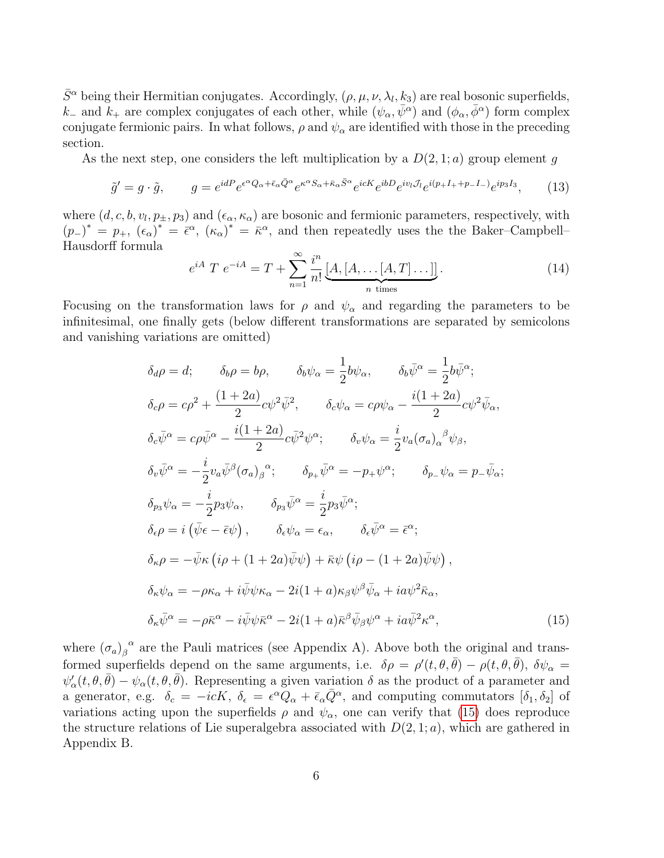$\bar{S}^{\alpha}$  being their Hermitian conjugates. Accordingly,  $(\rho, \mu, \nu, \lambda_l, k_3)$  are real bosonic superfields, k<sub>−</sub> and  $k_+$  are complex conjugates of each other, while  $(\psi_\alpha, \bar{\psi}^\alpha)$  and  $(\phi_\alpha, \bar{\phi}^\alpha)$  form complex conjugate fermionic pairs. In what follows,  $\rho$  and  $\psi_{\alpha}$  are identified with those in the preceding section.

As the next step, one considers the left multiplication by a  $D(2,1;a)$  group element q

<span id="page-6-1"></span>
$$
\tilde{g}' = g \cdot \tilde{g}, \qquad g = e^{idP} e^{\epsilon^{\alpha} Q_{\alpha} + \bar{\epsilon}_{\alpha} \bar{Q}^{\alpha}} e^{\kappa^{\alpha} S_{\alpha} + \bar{\kappa}_{\alpha} \bar{S}^{\alpha}} e^{icK} e^{ibD} e^{iv_l \mathcal{J}_l} e^{i(p_+ I_+ + p_- I_-)} e^{ip_3 I_3}, \qquad (13)
$$

where  $(d, c, b, v_l, p_{\pm}, p_3)$  and  $(\epsilon_{\alpha}, \kappa_{\alpha})$  are bosonic and fermionic parameters, respectively, with  $(p_{-})^* = p_{+}, (\epsilon_{\alpha})^* = \bar{\epsilon}^{\alpha}, (\kappa_{\alpha})^* = \bar{\kappa}^{\alpha},$  and then repeatedly uses the the Baker–Campbell– Hausdorff formula

$$
e^{iA} T e^{-iA} = T + \sum_{n=1}^{\infty} \frac{i^n}{n!} \underbrace{[A, [A, \dots [A, T] \dots]]}_{n \text{ times}}.
$$
 (14)

Focusing on the transformation laws for  $\rho$  and  $\psi_{\alpha}$  and regarding the parameters to be infinitesimal, one finally gets (below different transformations are separated by semicolons and vanishing variations are omitted)

<span id="page-6-0"></span>
$$
\delta_{d}\rho = d; \qquad \delta_{b}\rho = b\rho, \qquad \delta_{b}\psi_{\alpha} = \frac{1}{2}b\psi_{\alpha}, \qquad \delta_{b}\bar{\psi}^{\alpha} = \frac{1}{2}b\bar{\psi}^{\alpha};
$$
  
\n
$$
\delta_{c}\rho = c\rho^{2} + \frac{(1+2a)}{2}c\psi^{2}\bar{\psi}^{2}, \qquad \delta_{c}\psi_{\alpha} = c\rho\psi_{\alpha} - \frac{i(1+2a)}{2}c\psi^{2}\bar{\psi}_{\alpha},
$$
  
\n
$$
\delta_{c}\bar{\psi}^{\alpha} = c\rho\bar{\psi}^{\alpha} - \frac{i(1+2a)}{2}c\bar{\psi}^{2}\psi^{\alpha}; \qquad \delta_{v}\psi_{\alpha} = \frac{i}{2}v_{a}(\sigma_{a})_{\alpha}{}^{\beta}\psi_{\beta},
$$
  
\n
$$
\delta_{v}\bar{\psi}^{\alpha} = -\frac{i}{2}v_{a}\bar{\psi}^{\beta}(\sigma_{a})_{\beta}{}^{\alpha}; \qquad \delta_{p_{+}}\bar{\psi}^{\alpha} = -p_{+}\psi^{\alpha}; \qquad \delta_{p_{-}}\psi_{\alpha} = p_{-}\bar{\psi}_{\alpha};
$$
  
\n
$$
\delta_{p_{3}}\psi_{\alpha} = -\frac{i}{2}p_{3}\psi_{\alpha}, \qquad \delta_{p_{3}}\bar{\psi}^{\alpha} = \frac{i}{2}p_{3}\bar{\psi}^{\alpha};
$$
  
\n
$$
\delta_{\epsilon}\rho = i(\bar{\psi}\epsilon - \bar{\epsilon}\psi), \qquad \delta_{\epsilon}\psi_{\alpha} = \epsilon_{\alpha}, \qquad \delta_{\epsilon}\bar{\psi}^{\alpha} = \bar{\epsilon}^{\alpha};
$$
  
\n
$$
\delta_{\kappa}\rho = -\bar{\psi}\kappa(i\rho + (1+2a)\bar{\psi}\psi) + \bar{\kappa}\psi(i\rho - (1+2a)\bar{\psi}\psi),
$$
  
\n
$$
\delta_{\kappa}\psi_{\alpha} = -\rho\kappa_{\alpha} + i\bar{\psi}\psi\kappa_{\alpha} - 2i(1+a)\kappa_{\beta}\psi^{\beta}\bar{\psi}_{\alpha} + i\bar{\omega}\psi^{2}\bar{\kappa}_{\alpha},
$$
  
\n
$$
\delta_{\kappa}\bar{\psi}^{\alpha} = -\rho\
$$

where  $(\sigma_a)_{\beta}^{\alpha}$  are the Pauli matrices (see Appendix A). Above both the original and transformed superfields depend on the same arguments, i.e.  $\delta \rho = \rho'(t, \theta, \bar{\theta}) - \rho(t, \theta, \bar{\theta})$ ,  $\delta \psi_{\alpha} =$  $\psi'_{\alpha}(t,\theta,\bar{\theta}) - \psi_{\alpha}(t,\theta,\bar{\theta})$ . Representing a given variation  $\delta$  as the product of a parameter and a generator, e.g.  $\delta_c = -icK$ ,  $\delta_{\epsilon} = \epsilon^{\alpha} Q_{\alpha} + \bar{\epsilon}_{\alpha} \bar{Q}^{\alpha}$ , and computing commutators  $[\delta_1, \delta_2]$  of variations acting upon the superfields  $\rho$  and  $\psi_{\alpha}$ , one can verify that [\(15\)](#page-6-0) does reproduce the structure relations of Lie superalgebra associated with  $D(2, 1; a)$ , which are gathered in Appendix B.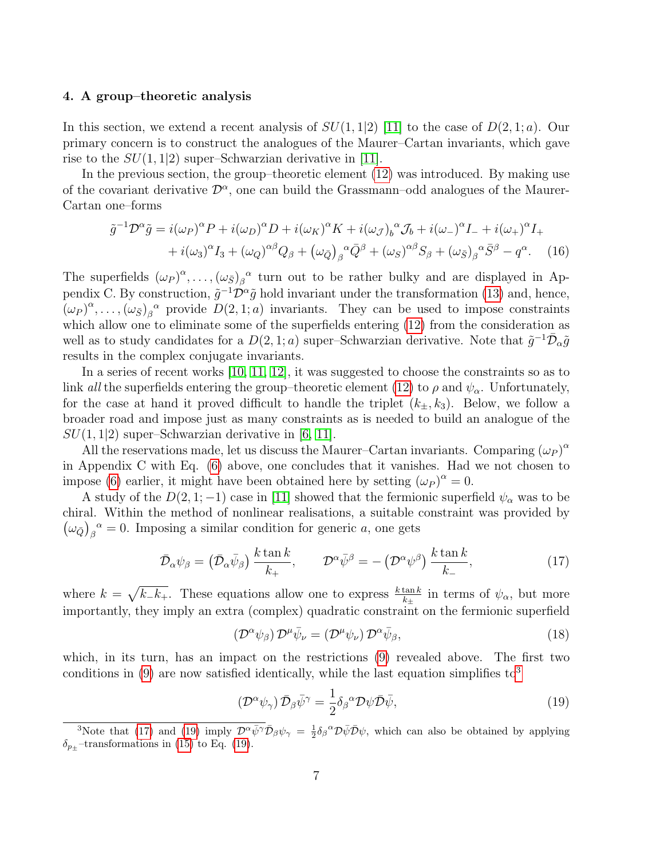# 4. A group–theoretic analysis

In this section, we extend a recent analysis of  $SU(1, 1|2)$  [\[11\]](#page-21-8) to the case of  $D(2, 1; a)$ . Our primary concern is to construct the analogues of the Maurer–Cartan invariants, which gave rise to the  $SU(1,1|2)$  super–Schwarzian derivative in [\[11\]](#page-21-8).

In the previous section, the group–theoretic element [\(12\)](#page-5-0) was introduced. By making use of the covariant derivative  $\mathcal{D}^{\alpha}$ , one can build the Grassmann-odd analogues of the Maurer-Cartan one–forms

<span id="page-7-4"></span>
$$
\tilde{g}^{-1}\mathcal{D}^{\alpha}\tilde{g} = i(\omega_P)^{\alpha}P + i(\omega_D)^{\alpha}D + i(\omega_K)^{\alpha}K + i(\omega_{\mathcal{J}})_b^{\alpha}\mathcal{J}_b + i(\omega_-)^{\alpha}I_- + i(\omega_+)^{\alpha}I_+ \n+ i(\omega_3)^{\alpha}I_3 + (\omega_Q)^{\alpha\beta}Q_{\beta} + (\omega_{\bar{Q}})_{\beta}^{\alpha}\bar{Q}^{\beta} + (\omega_S)^{\alpha\beta}S_{\beta} + (\omega_{\bar{S}})_{\beta}^{\alpha}\bar{S}^{\beta} - q^{\alpha}.
$$
 (16)

The superfields  $(\omega_P)^{\alpha}, \ldots, (\omega_{\bar{S}})_{\beta}{}^{\alpha}$  turn out to be rather bulky and are displayed in Appendix C. By construction,  $\tilde{g}^{-1} \mathcal{D}^{\alpha} \tilde{g}$  hold invariant under the transformation [\(13\)](#page-6-1) and, hence,  $(\omega_P)^{\alpha}, \ldots, (\omega_{\bar{S}})_{\beta}{}^{\alpha}$  provide  $D(2,1,a)$  invariants. They can be used to impose constraints which allow one to eliminate some of the superfields entering  $(12)$  from the consideration as well as to study candidates for a  $D(2,1;a)$  super–Schwarzian derivative. Note that  $\tilde{g}^{-1}\bar{\mathcal{D}}_{\alpha}\tilde{g}$ results in the complex conjugate invariants.

In a series of recent works [\[10,](#page-21-7) [11,](#page-21-8) [12\]](#page-21-9), it was suggested to choose the constraints so as to link all the superfields entering the group–theoretic element [\(12\)](#page-5-0) to  $\rho$  and  $\psi_{\alpha}$ . Unfortunately, for the case at hand it proved difficult to handle the triplet  $(k_{\pm}, k_3)$ . Below, we follow a broader road and impose just as many constraints as is needed to build an analogue of the  $SU(1,1|2)$  super–Schwarzian derivative in [\[6,](#page-21-3) [11\]](#page-21-8).

All the reservations made, let us discuss the Maurer–Cartan invariants. Comparing  $(\omega_P)^{\alpha}$ in Appendix C with Eq. [\(6\)](#page-4-4) above, one concludes that it vanishes. Had we not chosen to impose [\(6\)](#page-4-4) earlier, it might have been obtained here by setting  $(\omega_P)^{\alpha} = 0$ .

A study of the  $D(2,1; -1)$  case in [\[11\]](#page-21-8) showed that the fermionic superfield  $\psi_{\alpha}$  was to be chiral. Within the method of nonlinear realisations, a suitable constraint was provided by  $(\omega_{\bar{Q}})_{\beta}^{\alpha} = 0$ . Imposing a similar condition for generic a, one gets

<span id="page-7-1"></span>
$$
\bar{\mathcal{D}}_{\alpha}\psi_{\beta} = (\bar{\mathcal{D}}_{\alpha}\bar{\psi}_{\beta})\frac{k\tan k}{k_{+}}, \qquad \mathcal{D}^{\alpha}\bar{\psi}^{\beta} = -(\mathcal{D}^{\alpha}\psi^{\beta})\frac{k\tan k}{k_{-}},\tag{17}
$$

where  $k = \sqrt{k_{-}k_{+}}$ . These equations allow one to express  $\frac{k \tan k}{k_{+}}$  in terms of  $\psi_{\alpha}$ , but more importantly, they imply an extra (complex) quadratic constraint on the fermionic superfield

<span id="page-7-3"></span>
$$
\left(\mathcal{D}^{\alpha}\psi_{\beta}\right)\mathcal{D}^{\mu}\bar{\psi}_{\nu}=\left(\mathcal{D}^{\mu}\psi_{\nu}\right)\mathcal{D}^{\alpha}\bar{\psi}_{\beta},\tag{18}
$$

which, in its turn, has an impact on the restrictions [\(9\)](#page-4-3) revealed above. The first two conditions in  $(9)$  are now satisfied identically, while the last equation simplifies to<sup>[3](#page-7-0)</sup>

<span id="page-7-2"></span>
$$
\left(\mathcal{D}^{\alpha}\psi_{\gamma}\right)\bar{\mathcal{D}}_{\beta}\bar{\psi}^{\gamma} = \frac{1}{2}\delta_{\beta}{}^{\alpha}\mathcal{D}\psi\bar{\mathcal{D}}\bar{\psi},\tag{19}
$$

<span id="page-7-0"></span><sup>&</sup>lt;sup>3</sup>Note that [\(17\)](#page-7-1) and [\(19\)](#page-7-2) imply  $\mathcal{D}^{\alpha} \bar{\psi}^{\gamma} \bar{\mathcal{D}}_{\beta} \psi_{\gamma} = \frac{1}{2} \delta_{\beta}^{\alpha} \mathcal{D} \bar{\psi} \bar{\mathcal{D}} \psi$ , which can also be obtained by applying  $\delta_{p_+}$ -transformations in [\(15\)](#page-6-0) to Eq. [\(19\)](#page-7-2).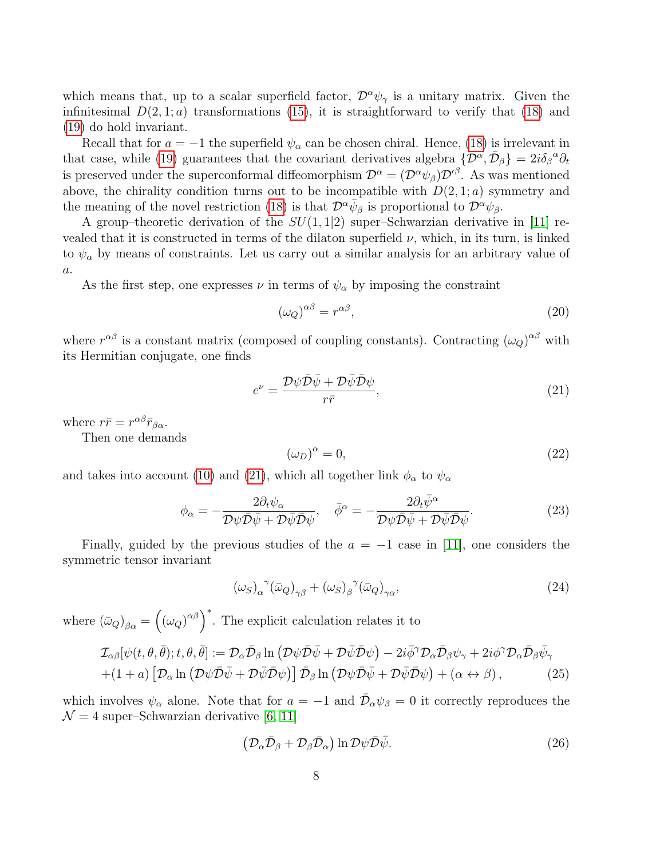which means that, up to a scalar superfield factor,  $\mathcal{D}^{\alpha}\psi_{\gamma}$  is a unitary matrix. Given the infinitesimal  $D(2, 1; a)$  transformations [\(15\)](#page-6-0), it is straightforward to verify that [\(18\)](#page-7-3) and [\(19\)](#page-7-2) do hold invariant.

Recall that for  $a = -1$  the superfield  $\psi_{\alpha}$  can be chosen chiral. Hence, [\(18\)](#page-7-3) is irrelevant in that case, while [\(19\)](#page-7-2) guarantees that the covariant derivatives algebra  $\{\mathcal{D}^{\alpha}, \bar{\mathcal{D}}_{\beta}\}=2i\delta_{\beta}{}^{\alpha}\partial_t$ is preserved under the superconformal diffeomorphism  $\mathcal{D}^{\alpha} = (\mathcal{D}^{\alpha}\psi_{\beta})\mathcal{D}'^{\beta}$ . As was mentioned above, the chirality condition turns out to be incompatible with  $D(2, 1; a)$  symmetry and the meaning of the novel restriction [\(18\)](#page-7-3) is that  $\mathcal{D}^{\alpha} \bar{\psi}_{\beta}$  is proportional to  $\mathcal{D}^{\alpha} \psi_{\beta}$ .

A group–theoretic derivation of the  $SU(1, 1|2)$  super–Schwarzian derivative in [\[11\]](#page-21-8) revealed that it is constructed in terms of the dilaton superfield  $\nu$ , which, in its turn, is linked to  $\psi_{\alpha}$  by means of constraints. Let us carry out a similar analysis for an arbitrary value of a.

As the first step, one expresses  $\nu$  in terms of  $\psi_{\alpha}$  by imposing the constraint

$$
(\omega_Q)^{\alpha\beta} = r^{\alpha\beta},\tag{20}
$$

where  $r^{\alpha\beta}$  is a constant matrix (composed of coupling constants). Contracting  $(\omega_Q)^{\alpha\beta}$  with its Hermitian conjugate, one finds

<span id="page-8-0"></span>
$$
e^{\nu} = \frac{\mathcal{D}\psi\bar{\mathcal{D}}\bar{\psi} + \mathcal{D}\bar{\psi}\bar{\mathcal{D}}\psi}{r\bar{r}},\tag{21}
$$

where  $r\bar{r} = r^{\alpha\beta}\bar{r}_{\beta\alpha}$ .

Then one demands

$$
(\omega_D)^{\alpha} = 0,\t(22)
$$

and takes into account [\(10\)](#page-4-5) and [\(21\)](#page-8-0), which all together link  $\phi_{\alpha}$  to  $\psi_{\alpha}$ 

$$
\phi_{\alpha} = -\frac{2\partial_t \psi_{\alpha}}{\mathcal{D}\psi \bar{\mathcal{D}}\bar{\psi} + \mathcal{D}\bar{\psi} \bar{\mathcal{D}}\psi}, \quad \bar{\phi}^{\alpha} = -\frac{2\partial_t \bar{\psi}^{\alpha}}{\mathcal{D}\psi \bar{\mathcal{D}}\bar{\psi} + \mathcal{D}\bar{\psi} \bar{\mathcal{D}}\psi}.
$$
\n(23)

Finally, guided by the previous studies of the  $a = -1$  case in [\[11\]](#page-21-8), one considers the symmetric tensor invariant

$$
(\omega_S)_{\alpha}^{\ \gamma}(\bar{\omega}_Q)_{\gamma\beta} + (\omega_S)_{\beta}^{\ \gamma}(\bar{\omega}_Q)_{\gamma\alpha},\tag{24}
$$

where  $(\bar{\omega}_Q)_{\beta\alpha} = ((\omega_Q)^{\alpha\beta})^*$ . The explicit calculation relates it to

<span id="page-8-1"></span>
$$
\mathcal{I}_{\alpha\beta}[\psi(t,\theta,\bar{\theta});t,\theta,\bar{\theta}] := \mathcal{D}_{\alpha}\bar{\mathcal{D}}_{\beta}\ln\left(\mathcal{D}\psi\bar{\mathcal{D}}\bar{\psi} + \mathcal{D}\bar{\psi}\bar{\mathcal{D}}\psi\right) - 2i\bar{\phi}^{\gamma}\mathcal{D}_{\alpha}\bar{\mathcal{D}}_{\beta}\psi_{\gamma} + 2i\phi^{\gamma}\mathcal{D}_{\alpha}\bar{\mathcal{D}}_{\beta}\bar{\psi}_{\gamma} + (1+a)\left[\mathcal{D}_{\alpha}\ln\left(\mathcal{D}\psi\bar{\mathcal{D}}\bar{\psi} + \mathcal{D}\bar{\psi}\bar{\mathcal{D}}\psi\right)\right]\bar{\mathcal{D}}_{\beta}\ln\left(\mathcal{D}\psi\bar{\mathcal{D}}\bar{\psi} + \mathcal{D}\bar{\psi}\bar{\mathcal{D}}\psi\right) + (\alpha \leftrightarrow \beta),
$$
\n(25)

which involves  $\psi_{\alpha}$  alone. Note that for  $a = -1$  and  $\bar{\mathcal{D}}_{\alpha}\psi_{\beta} = 0$  it correctly reproduces the  $\mathcal{N}=4$  super–Schwarzian derivative [\[6,](#page-21-3) [11\]](#page-21-8)

<span id="page-8-2"></span>
$$
\left(\mathcal{D}_{\alpha}\bar{\mathcal{D}}_{\beta} + \mathcal{D}_{\beta}\bar{\mathcal{D}}_{\alpha}\right) \ln \mathcal{D}\psi \bar{\mathcal{D}}\bar{\psi}.
$$
\n(26)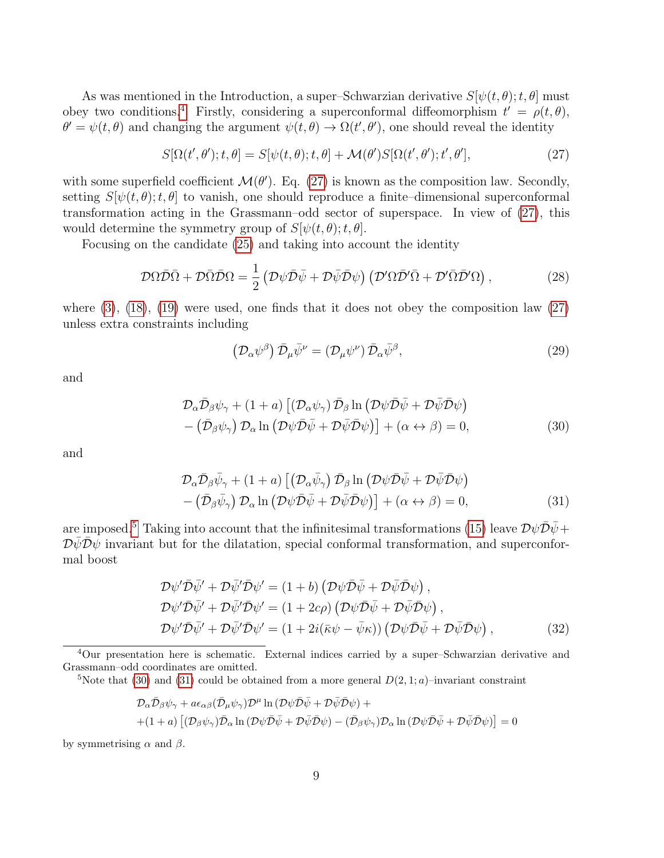As was mentioned in the Introduction, a super–Schwarzian derivative  $S[\psi(t, \theta); t, \theta]$  must obey two conditions.<sup>[4](#page-9-0)</sup> Firstly, considering a superconformal diffeomorphism  $t' = \rho(t, \theta)$ ,  $\theta' = \psi(t, \theta)$  and changing the argument  $\psi(t, \theta) \to \Omega(t', \theta')$ , one should reveal the identity

<span id="page-9-1"></span>
$$
S[\Omega(t',\theta');t,\theta] = S[\psi(t,\theta);t,\theta] + \mathcal{M}(\theta')S[\Omega(t',\theta');t',\theta'],
$$
\n(27)

with some superfield coefficient  $\mathcal{M}(\theta')$ . Eq. [\(27\)](#page-9-1) is known as the composition law. Secondly, setting  $S[\psi(t, \theta); t, \theta]$  to vanish, one should reproduce a finite–dimensional superconformal transformation acting in the Grassmann–odd sector of superspace. In view of [\(27\)](#page-9-1), this would determine the symmetry group of  $S[\psi(t, \theta); t, \theta]$ .

Focusing on the candidate [\(25\)](#page-8-1) and taking into account the identity

<span id="page-9-6"></span>
$$
\mathcal{D}\Omega\bar{\mathcal{D}}\bar{\Omega} + \mathcal{D}\bar{\Omega}\bar{\mathcal{D}}\Omega = \frac{1}{2} \left( \mathcal{D}\psi\bar{\mathcal{D}}\bar{\psi} + \mathcal{D}\bar{\psi}\bar{\mathcal{D}}\psi \right) \left( \mathcal{D}'\Omega\bar{\mathcal{D}}'\bar{\Omega} + \mathcal{D}'\bar{\Omega}\bar{\mathcal{D}}'\Omega \right),\tag{28}
$$

where  $(3)$ ,  $(18)$ ,  $(19)$  were used, one finds that it does not obey the composition law  $(27)$ unless extra constraints including

<span id="page-9-5"></span>
$$
\left(\mathcal{D}_{\alpha}\psi^{\beta}\right)\bar{\mathcal{D}}_{\mu}\bar{\psi}^{\nu} = \left(\mathcal{D}_{\mu}\psi^{\nu}\right)\bar{\mathcal{D}}_{\alpha}\bar{\psi}^{\beta},\tag{29}
$$

and

<span id="page-9-3"></span>
$$
\mathcal{D}_{\alpha}\bar{\mathcal{D}}_{\beta}\psi_{\gamma} + (1+a)\left[ \left( \mathcal{D}_{\alpha}\psi_{\gamma} \right) \bar{\mathcal{D}}_{\beta} \ln \left( \mathcal{D}\psi \bar{\mathcal{D}}\bar{\psi} + \mathcal{D}\bar{\psi} \bar{\mathcal{D}}\psi \right) \right] - \left( \bar{\mathcal{D}}_{\beta}\psi_{\gamma} \right) \mathcal{D}_{\alpha} \ln \left( \mathcal{D}\psi \bar{\mathcal{D}}\bar{\psi} + \mathcal{D}\bar{\psi} \bar{\mathcal{D}}\psi \right) \right] + (\alpha \leftrightarrow \beta) = 0,
$$
\n(30)

and

<span id="page-9-4"></span>
$$
\mathcal{D}_{\alpha}\bar{\mathcal{D}}_{\beta}\bar{\psi}_{\gamma} + (1+a) \left[ \left( \mathcal{D}_{\alpha}\bar{\psi}_{\gamma} \right) \bar{\mathcal{D}}_{\beta} \ln \left( \mathcal{D}\psi \bar{\mathcal{D}}\bar{\psi} + \mathcal{D}\bar{\psi} \bar{\mathcal{D}}\psi \right) \right] - \left( \bar{\mathcal{D}}_{\beta}\bar{\psi}_{\gamma} \right) \mathcal{D}_{\alpha} \ln \left( \mathcal{D}\psi \bar{\mathcal{D}}\bar{\psi} + \mathcal{D}\bar{\psi} \bar{\mathcal{D}}\psi \right) \right] + (\alpha \leftrightarrow \beta) = 0,
$$
\n(31)

are imposed.<sup>[5](#page-9-2)</sup> Taking into account that the infinitesimal transformations [\(15\)](#page-6-0) leave  $\mathcal{D}\psi\bar{\mathcal{D}}\bar{\psi}$  +  $\mathcal{D}\psi\mathcal{D}\psi$  invariant but for the dilatation, special conformal transformation, and superconformal boost

$$
\mathcal{D}\psi'\bar{\mathcal{D}}\bar{\psi}'+\mathcal{D}\bar{\psi}'\bar{\mathcal{D}}\psi'=(1+b)\left(\mathcal{D}\psi\bar{\mathcal{D}}\bar{\psi}+\mathcal{D}\bar{\psi}\bar{\mathcal{D}}\psi\right),\n\mathcal{D}\psi'\bar{\mathcal{D}}\bar{\psi}'+\mathcal{D}\bar{\psi}'\bar{\mathcal{D}}\psi'=(1+2c\rho)\left(\mathcal{D}\psi\bar{\mathcal{D}}\bar{\psi}+\mathcal{D}\bar{\psi}\bar{\mathcal{D}}\psi\right),\n\mathcal{D}\psi'\bar{\mathcal{D}}\bar{\psi}'+\mathcal{D}\bar{\psi}'\bar{\mathcal{D}}\psi'=(1+2i(\bar{\kappa}\psi-\bar{\psi}\kappa))\left(\mathcal{D}\psi\bar{\mathcal{D}}\bar{\psi}+\mathcal{D}\bar{\psi}\bar{\mathcal{D}}\psi\right),
$$
\n(32)

<span id="page-9-0"></span><sup>4</sup>Our presentation here is schematic. External indices carried by a super–Schwarzian derivative and Grassmann–odd coordinates are omitted.

<span id="page-9-2"></span><sup>5</sup>Note that [\(30\)](#page-9-3) and [\(31\)](#page-9-4) could be obtained from a more general  $D(2, 1; a)$ –invariant constraint

$$
\mathcal{D}_{\alpha}\bar{\mathcal{D}}_{\beta}\psi_{\gamma} + a\epsilon_{\alpha\beta}(\bar{\mathcal{D}}_{\mu}\psi_{\gamma})\mathcal{D}^{\mu}\ln(\mathcal{D}\psi\bar{\mathcal{D}}\bar{\psi} + \mathcal{D}\bar{\psi}\bar{\mathcal{D}}\psi) + + (1+a)\left[ (\mathcal{D}_{\beta}\psi_{\gamma})\bar{\mathcal{D}}_{\alpha}\ln(\mathcal{D}\psi\bar{\mathcal{D}}\bar{\psi} + \mathcal{D}\bar{\psi}\bar{\mathcal{D}}\psi) - (\bar{\mathcal{D}}_{\beta}\psi_{\gamma})\mathcal{D}_{\alpha}\ln(\mathcal{D}\psi\bar{\mathcal{D}}\bar{\psi} + \mathcal{D}\bar{\psi}\bar{\mathcal{D}}\psi) \right] = 0
$$

by symmetrising  $\alpha$  and  $\beta$ .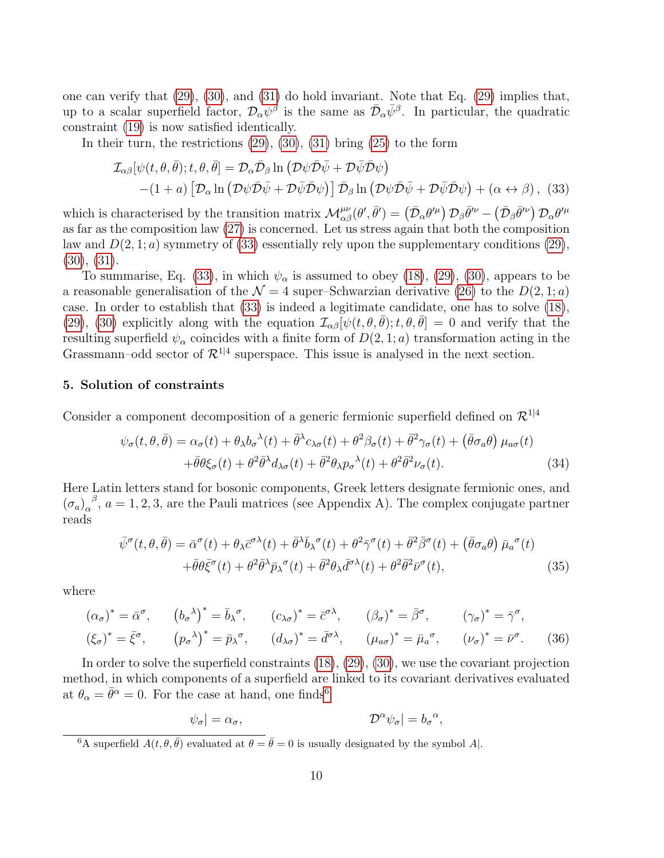one can verify that  $(29)$ ,  $(30)$ , and  $(31)$  do hold invariant. Note that Eq.  $(29)$  implies that, up to a scalar superfield factor,  $\mathcal{D}_{\alpha} \psi^{\beta}$  is the same as  $\bar{\mathcal{D}}_{\alpha} \bar{\psi}^{\beta}$ . In particular, the quadratic constraint [\(19\)](#page-7-2) is now satisfied identically.

<span id="page-10-0"></span>In their turn, the restrictions  $(29)$ ,  $(30)$ ,  $(31)$  bring  $(25)$  to the form

$$
\mathcal{I}_{\alpha\beta}[\psi(t,\theta,\bar{\theta});t,\theta,\bar{\theta}] = \mathcal{D}_{\alpha}\bar{\mathcal{D}}_{\beta}\ln(\mathcal{D}\psi\bar{\mathcal{D}}\bar{\psi} + \mathcal{D}\bar{\psi}\bar{\mathcal{D}}\psi) \n-(1+a)\left[\mathcal{D}_{\alpha}\ln(\mathcal{D}\psi\bar{\mathcal{D}}\bar{\psi} + \mathcal{D}\bar{\psi}\bar{\mathcal{D}}\psi)\right]\bar{\mathcal{D}}_{\beta}\ln(\mathcal{D}\psi\bar{\mathcal{D}}\bar{\psi} + \mathcal{D}\bar{\psi}\bar{\mathcal{D}}\psi) + (\alpha \leftrightarrow \beta), (33)
$$

which is characterised by the transition matrix  $\mathcal{M}^{\mu\nu}_{\alpha\beta}(\theta', \bar{\theta}') = (\bar{\mathcal{D}}_{\alpha}\theta'^{\mu}) \mathcal{D}_{\beta}\bar{\theta}'^{\nu} - (\bar{\mathcal{D}}_{\beta}\bar{\theta}'^{\nu}) \mathcal{D}_{\alpha}\theta'^{\mu}$ as far as the composition law [\(27\)](#page-9-1) is concerned. Let us stress again that both the composition law and  $D(2, 1; a)$  symmetry of [\(33\)](#page-10-0) essentially rely upon the supplementary conditions [\(29\)](#page-9-5),  $(30), (31).$  $(30), (31).$  $(30), (31).$  $(30), (31).$ 

To summarise, Eq. [\(33\)](#page-10-0), in which  $\psi_{\alpha}$  is assumed to obey [\(18\)](#page-7-3), [\(29\)](#page-9-5), [\(30\)](#page-9-3), appears to be a reasonable generalisation of the  $\mathcal{N} = 4$  super–Schwarzian derivative [\(26\)](#page-8-2) to the  $D(2, 1; a)$ case. In order to establish that [\(33\)](#page-10-0) is indeed a legitimate candidate, one has to solve [\(18\)](#page-7-3), [\(29\)](#page-9-5), [\(30\)](#page-9-3) explicitly along with the equation  $\mathcal{I}_{\alpha\beta}[\psi(t,\theta,\bar{\theta});t,\theta,\bar{\theta}] = 0$  and verify that the resulting superfield  $\psi_{\alpha}$  coincides with a finite form of  $D(2, 1; a)$  transformation acting in the Grassmann–odd sector of  $\mathcal{R}^{1|4}$  superspace. This issue is analysed in the next section.

# 5. Solution of constraints

Consider a component decomposition of a generic fermionic superfield defined on  $\mathcal{R}^{1|4}$ 

<span id="page-10-2"></span>
$$
\psi_{\sigma}(t,\theta,\bar{\theta}) = \alpha_{\sigma}(t) + \theta_{\lambda}b_{\sigma}^{\lambda}(t) + \bar{\theta}^{\lambda}c_{\lambda\sigma}(t) + \theta^2\beta_{\sigma}(t) + \bar{\theta}^2\gamma_{\sigma}(t) + (\bar{\theta}\sigma_{a}\theta)\mu_{a\sigma}(t) \n+ \bar{\theta}\theta\xi_{\sigma}(t) + \theta^2\bar{\theta}^{\lambda}d_{\lambda\sigma}(t) + \bar{\theta}^2\theta_{\lambda}p_{\sigma}^{\lambda}(t) + \theta^2\bar{\theta}^2\nu_{\sigma}(t).
$$
\n(34)

Here Latin letters stand for bosonic components, Greek letters designate fermionic ones, and  $(\sigma_a)_{\alpha}^{\beta}$ ,  $a = 1, 2, 3$ , are the Pauli matrices (see Appendix A). The complex conjugate partner reads

$$
\bar{\psi}^{\sigma}(t,\theta,\bar{\theta}) = \bar{\alpha}^{\sigma}(t) + \theta_{\lambda}\bar{c}^{\sigma\lambda}(t) + \bar{\theta}^{\lambda}\bar{b}_{\lambda}{}^{\sigma}(t) + \theta^{2}\bar{\gamma}^{\sigma}(t) + \bar{\theta}^{2}\bar{\beta}^{\sigma}(t) + (\bar{\theta}\sigma_{a}\theta)\bar{\mu}_{a}{}^{\sigma}(t) \n+ \bar{\theta}\theta\bar{\xi}^{\sigma}(t) + \theta^{2}\bar{\theta}^{\lambda}\bar{p}_{\lambda}{}^{\sigma}(t) + \bar{\theta}^{2}\theta_{\lambda}\bar{d}^{\sigma\lambda}(t) + \theta^{2}\bar{\theta}^{2}\bar{\nu}^{\sigma}(t),
$$
\n(35)

where

$$
(\alpha_{\sigma})^* = \bar{\alpha}^{\sigma}, \qquad (b_{\sigma}^{\lambda})^* = \bar{b}_{\lambda}^{\sigma}, \qquad (c_{\lambda\sigma})^* = \bar{c}^{\sigma\lambda}, \qquad (\beta_{\sigma})^* = \bar{\beta}^{\sigma}, \qquad (\gamma_{\sigma})^* = \bar{\gamma}^{\sigma},
$$
  

$$
(\xi_{\sigma})^* = \bar{\xi}^{\sigma}, \qquad (p_{\sigma}^{\lambda})^* = \bar{p}_{\lambda}^{\sigma}, \qquad (d_{\lambda\sigma})^* = \bar{d}^{\sigma\lambda}, \qquad (\mu_{a\sigma})^* = \bar{\mu}_{a}^{\sigma}, \qquad (\nu_{\sigma})^* = \bar{\nu}^{\sigma}. \qquad (36)
$$

In order to solve the superfield constraints [\(18\)](#page-7-3), [\(29\)](#page-9-5), [\(30\)](#page-9-3), we use the covariant projection method, in which components of a superfield are linked to its covariant derivatives evaluated at  $\theta_{\alpha} = \bar{\theta}^{\alpha} = 0$ . For the case at hand, one finds<sup>[6](#page-10-1)</sup>

$$
\psi_{\sigma}| = \alpha_{\sigma}, \qquad \qquad \mathcal{D}^{\alpha}\psi_{\sigma}| = b_{\sigma}^{\alpha},
$$

<span id="page-10-1"></span><sup>&</sup>lt;sup>6</sup>A superfield  $A(t, \theta, \bar{\theta})$  evaluated at  $\theta = \bar{\theta} = 0$  is usually designated by the symbol A.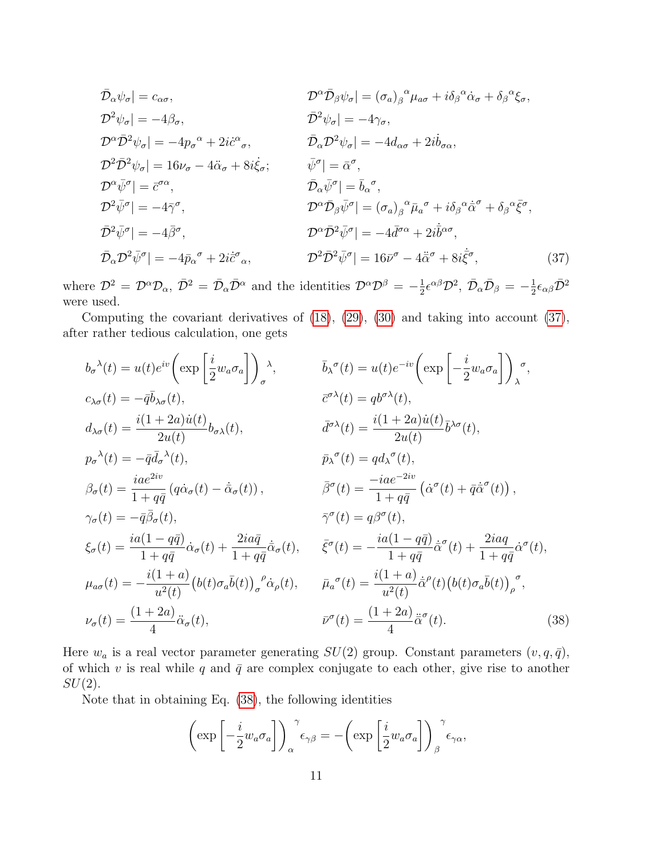<span id="page-11-0"></span>
$$
\bar{\mathcal{D}}_{\alpha}\psi_{\sigma}| = c_{\alpha\sigma}, \qquad \bar{\mathcal{D}}^{\alpha}\bar{\mathcal{D}}_{\beta}\psi_{\sigma}| = (\sigma_{a})_{\beta}^{\alpha}\mu_{a\sigma} + i\delta_{\beta}^{\alpha}\dot{\alpha}_{\sigma} + \delta_{\beta}^{\alpha}\xi_{\sigma}, \n\bar{\mathcal{D}}^{2}\psi_{\sigma}| = -4\beta_{\sigma}, \qquad \bar{\mathcal{D}}^{2}\psi_{\sigma}| = -4\gamma_{\sigma}, \n\bar{\mathcal{D}}^{\alpha}\bar{\mathcal{D}}^{2}\psi_{\sigma}| = -4\eta_{\sigma}, \n\bar{\mathcal{D}}^{\alpha}\bar{\mathcal{D}}^{2}\psi_{\sigma}| = -4d_{\alpha\sigma} + 2i\dot{b}_{\sigma\alpha}, \n\bar{\mathcal{D}}^{\alpha}\bar{\mathcal{D}}^{2}\psi_{\sigma}| = 16\nu_{\sigma} - 4\ddot{\alpha}_{\sigma} + 8i\dot{\xi}_{\sigma}; \qquad \bar{\psi}^{\sigma}| = \bar{\alpha}^{\sigma}, \n\bar{\mathcal{D}}_{\alpha}\bar{\psi}^{\sigma}| = \bar{b}_{\alpha}^{\sigma}, \n\bar{\mathcal{D}}^{\alpha}\bar{\psi}^{\sigma}| = \bar{b}_{\alpha}^{\sigma}, \n\bar{\mathcal{D}}^{\alpha}\bar{\psi}^{\sigma}| = (\sigma_{a})_{\beta}^{\alpha}\bar{\mu}_{a}^{\sigma} + i\delta_{\beta}^{\alpha}\dot{\bar{\alpha}}^{\sigma} + \delta_{\beta}^{\alpha}\bar{\xi}^{\sigma}, \n\bar{\mathcal{D}}^{2}\bar{\psi}^{\sigma}| = -4\bar{\beta}^{\sigma}, \qquad \bar{\mathcal{D}}^{\alpha}\bar{\mathcal{D}}^{2}\bar{\psi}^{\sigma}| = -4\bar{d}^{\sigma\alpha} + 2i\dot{\bar{b}}^{\alpha\sigma}, \n\bar{\mathcal{D}}_{\alpha}\bar{\mathcal{D}}^{2}\bar{\psi}^{\sigma}| = -4\bar{\beta}^{\sigma} - 4\ddot{\bar{\alpha}}^{\sigma} + 8i\dot{\bar{\xi}}^{\sigma},
$$
\n(37)

where  $\mathcal{D}^2 = \mathcal{D}^{\alpha} \mathcal{D}_{\alpha}$ ,  $\bar{\mathcal{D}}^2 = \bar{\mathcal{D}}_{\alpha} \bar{\mathcal{D}}^{\alpha}$  and the identities  $\mathcal{D}^{\alpha} \mathcal{D}^{\beta} = -\frac{1}{2}$  $\frac{1}{2} \epsilon^{\alpha \beta} \mathcal{D}^2$ ,  $\bar{\mathcal{D}}_{\alpha} \bar{\mathcal{D}}_{\beta} = -\frac{1}{2}$  $\frac{1}{2}\epsilon_{\alpha\beta}\bar{\cal D}^2$ were used.

Computing the covariant derivatives of [\(18\)](#page-7-3), [\(29\)](#page-9-5), [\(30\)](#page-9-3) and taking into account [\(37\)](#page-11-0), after rather tedious calculation, one gets

$$
b_{\sigma}{}^{\lambda}(t) = u(t)e^{iv}\left(\exp\left[\frac{i}{2}w_{a}\sigma_{a}\right]\right)_{\sigma}^{\lambda}, \qquad \bar{b}_{\lambda}{}^{\sigma}(t) = u(t)e^{-iv}\left(\exp\left[-\frac{i}{2}w_{a}\sigma_{a}\right]\right)_{\lambda}^{\sigma},
$$
  
\n
$$
c_{\lambda\sigma}(t) = -\bar{q}\bar{b}_{\lambda\sigma}(t), \qquad \bar{c}^{\sigma\lambda}(t) = qb^{\sigma\lambda}(t),
$$
  
\n
$$
d_{\lambda\sigma}(t) = \frac{i(1+2a)u(t)}{2u(t)}b_{\sigma\lambda}(t), \qquad \bar{d}^{\sigma\lambda}(t) = \frac{i(1+2a)u(t)}{2u(t)}\bar{b}^{\lambda\sigma}(t),
$$
  
\n
$$
p_{\sigma}{}^{\lambda}(t) = -\bar{q}\bar{d}_{\sigma}{}^{\lambda}(t), \qquad \bar{p}_{\lambda}{}^{\sigma}(t) = qd_{\lambda}{}^{\sigma}(t),
$$
  
\n
$$
\beta_{\sigma}(t) = \frac{iae^{2iv}}{1+q\bar{q}}(q\dot{\alpha}_{\sigma}(t) - \dot{\alpha}_{\sigma}(t)), \qquad \bar{\beta}{}^{\sigma}(t) = \frac{-iae^{-2iv}}{1+q\bar{q}}(\dot{\alpha}{}^{\sigma}(t) + \bar{q}\dot{\alpha}{}^{\sigma}(t)),
$$
  
\n
$$
\gamma_{\sigma}(t) = -\bar{q}\bar{\beta}_{\sigma}(t), \qquad \bar{\gamma}{}^{\sigma}(t) = q\beta{}^{\sigma}(t),
$$
  
\n
$$
\xi_{\sigma}(t) = \frac{ia(1-q\bar{q})}{1+q\bar{q}}\dot{\alpha}_{\sigma}(t) + \frac{2ia\bar{q}}{1+q\bar{q}}\dot{\bar{\alpha}}_{\sigma}(t), \qquad \bar{\xi}{}^{\sigma}(t) = -\frac{ia(1-q\bar{q})}{1+q\bar{q}}\dot{\bar{\sigma}}{}^{\sigma}(t) + \frac{2iaq}{1+q\bar{q}}\dot{\bar{\sigma}}{}^{\sigma}(t),
$$
  
\n
$$
\mu_{a\sigma}(t) = -\frac{i(1+a)}{u^{2}(t)}(b(t)\sigma_{a}\bar{b}(t))_{\sigma}{}^{\sigma}\dot{\alpha}_{\rho
$$

Here  $w_a$  is a real vector parameter generating  $SU(2)$  group. Constant parameters  $(v, q, \bar{q})$ , of which v is real while q and  $\bar{q}$  are complex conjugate to each other, give rise to another  $SU(2)$ .

Note that in obtaining Eq. [\(38\)](#page-11-1), the following identities

<span id="page-11-2"></span><span id="page-11-1"></span>
$$
\left(\exp\left[-\frac{i}{2}w_a\sigma_a\right]\right)_{\alpha}^{\gamma}\epsilon_{\gamma\beta}=-\left(\exp\left[\frac{i}{2}w_a\sigma_a\right]\right)_{\beta}^{\gamma}\epsilon_{\gamma\alpha},\,
$$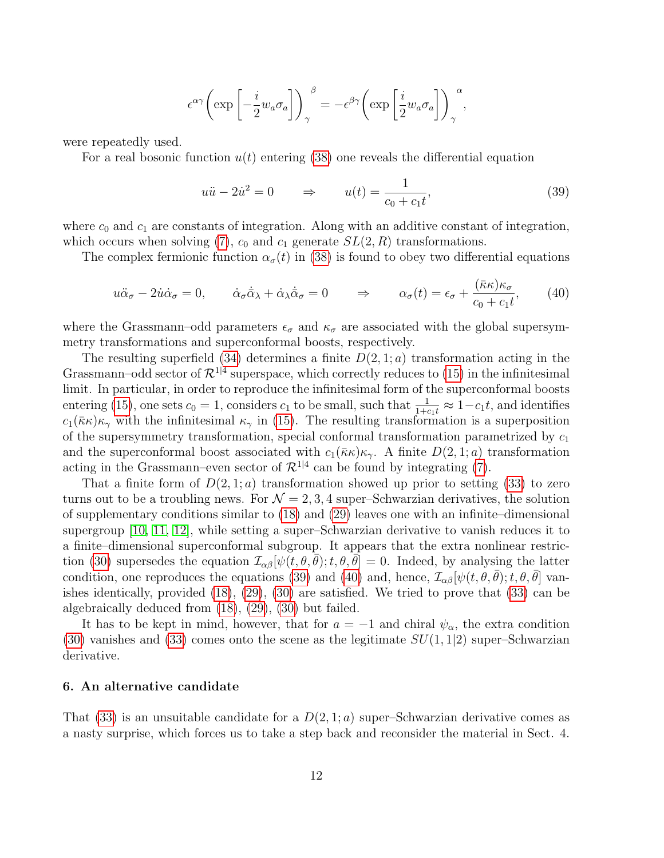$$
\epsilon^{\alpha\gamma}\bigg(\exp\left[-\frac{i}{2}w_a\sigma_a\right]\bigg)_{\gamma}^{\beta} = -\epsilon^{\beta\gamma}\bigg(\exp\left[\frac{i}{2}w_a\sigma_a\right]\bigg)_{\gamma}^{\alpha},\,
$$

were repeatedly used.

For a real bosonic function  $u(t)$  entering [\(38\)](#page-11-1) one reveals the differential equation

$$
u\ddot{u} - 2\dot{u}^2 = 0 \qquad \Rightarrow \qquad u(t) = \frac{1}{c_0 + c_1 t},\tag{39}
$$

where  $c_0$  and  $c_1$  are constants of integration. Along with an additive constant of integration, which occurs when solving [\(7\)](#page-4-2),  $c_0$  and  $c_1$  generate  $SL(2, R)$  transformations.

The complex fermionic function  $\alpha_{\sigma}(t)$  in [\(38\)](#page-11-1) is found to obey two differential equations

<span id="page-12-0"></span>
$$
u\ddot{\alpha}_{\sigma} - 2u\dot{\alpha}_{\sigma} = 0, \qquad \dot{\alpha}_{\sigma}\dot{\bar{\alpha}}_{\lambda} + \dot{\alpha}_{\lambda}\dot{\bar{\alpha}}_{\sigma} = 0 \qquad \Rightarrow \qquad \alpha_{\sigma}(t) = \epsilon_{\sigma} + \frac{(\bar{\kappa}\kappa)\kappa_{\sigma}}{c_0 + c_1t}, \tag{40}
$$

where the Grassmann–odd parameters  $\epsilon_{\sigma}$  and  $\kappa_{\sigma}$  are associated with the global supersymmetry transformations and superconformal boosts, respectively.

The resulting superfield [\(34\)](#page-10-2) determines a finite  $D(2, 1; a)$  transformation acting in the Grassmann–odd sector of  $\mathcal{R}^{1|4}$  superspace, which correctly reduces to [\(15\)](#page-6-0) in the infinitesimal limit. In particular, in order to reproduce the infinitesimal form of the superconformal boosts entering [\(15\)](#page-6-0), one sets  $c_0 = 1$ , considers  $c_1$  to be small, such that  $\frac{1}{1+c_1t} \approx 1-c_1t$ , and identifies  $c_1(\bar{\kappa}\kappa)\kappa_\gamma$  with the infinitesimal  $\kappa_\gamma$  in [\(15\)](#page-6-0). The resulting transformation is a superposition of the supersymmetry transformation, special conformal transformation parametrized by  $c_1$ and the superconformal boost associated with  $c_1(\bar{k}\kappa)\kappa_{\gamma}$ . A finite  $D(2, 1; a)$  transformation acting in the Grassmann–even sector of  $\mathcal{R}^{1|4}$  can be found by integrating [\(7\)](#page-4-2).

That a finite form of  $D(2, 1; a)$  transformation showed up prior to setting [\(33\)](#page-10-0) to zero turns out to be a troubling news. For  $\mathcal{N} = 2, 3, 4$  super-Schwarzian derivatives, the solution of supplementary conditions similar to [\(18\)](#page-7-3) and [\(29\)](#page-9-5) leaves one with an infinite–dimensional supergroup [\[10,](#page-21-7) [11,](#page-21-8) [12\]](#page-21-9), while setting a super–Schwarzian derivative to vanish reduces it to a finite–dimensional superconformal subgroup. It appears that the extra nonlinear restric-tion [\(30\)](#page-9-3) supersedes the equation  $\mathcal{I}_{\alpha\beta}[\psi(t,\theta,\bar{\theta});t,\theta,\bar{\theta}] = 0$ . Indeed, by analysing the latter condition, one reproduces the equations [\(39\)](#page-11-2) and [\(40\)](#page-12-0) and, hence,  $\mathcal{I}_{\alpha\beta}[\psi(t,\theta,\bar{\theta});t,\theta,\bar{\theta}]$  vanishes identically, provided [\(18\)](#page-7-3), [\(29\)](#page-9-5), [\(30\)](#page-9-3) are satisfied. We tried to prove that [\(33\)](#page-10-0) can be algebraically deduced from [\(18\)](#page-7-3), [\(29\)](#page-9-5), [\(30\)](#page-9-3) but failed.

It has to be kept in mind, however, that for  $a = -1$  and chiral  $\psi_{\alpha}$ , the extra condition [\(30\)](#page-9-3) vanishes and [\(33\)](#page-10-0) comes onto the scene as the legitimate  $SU(1,1|2)$  super–Schwarzian derivative.

# 6. An alternative candidate

That [\(33\)](#page-10-0) is an unsuitable candidate for a  $D(2,1;a)$  super–Schwarzian derivative comes as a nasty surprise, which forces us to take a step back and reconsider the material in Sect. 4.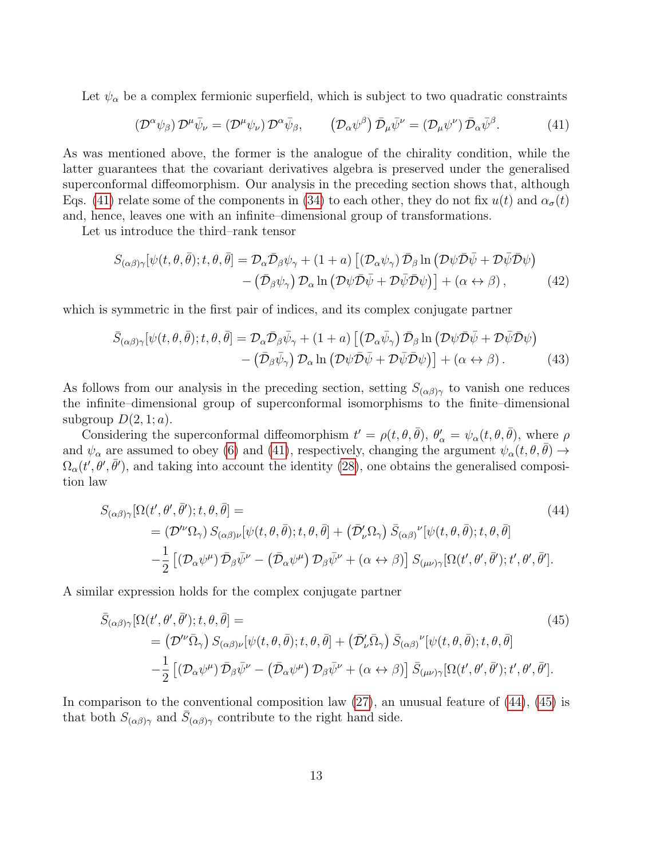Let  $\psi_{\alpha}$  be a complex fermionic superfield, which is subject to two quadratic constraints

<span id="page-13-0"></span>
$$
\left(\mathcal{D}^{\alpha}\psi_{\beta}\right)\mathcal{D}^{\mu}\bar{\psi}_{\nu}=\left(\mathcal{D}^{\mu}\psi_{\nu}\right)\mathcal{D}^{\alpha}\bar{\psi}_{\beta},\qquad\left(\mathcal{D}_{\alpha}\psi^{\beta}\right)\bar{\mathcal{D}}_{\mu}\bar{\psi}^{\nu}=\left(\mathcal{D}_{\mu}\psi^{\nu}\right)\bar{\mathcal{D}}_{\alpha}\bar{\psi}^{\beta}.
$$
\n(41)

As was mentioned above, the former is the analogue of the chirality condition, while the latter guarantees that the covariant derivatives algebra is preserved under the generalised superconformal diffeomorphism. Our analysis in the preceding section shows that, although Eqs. [\(41\)](#page-13-0) relate some of the components in [\(34\)](#page-10-2) to each other, they do not fix  $u(t)$  and  $\alpha_{\sigma}(t)$ and, hence, leaves one with an infinite–dimensional group of transformations.

Let us introduce the third–rank tensor

<span id="page-13-3"></span>
$$
S_{(\alpha\beta)\gamma}[\psi(t,\theta,\bar{\theta});t,\theta,\bar{\theta}] = \mathcal{D}_{\alpha}\bar{\mathcal{D}}_{\beta}\psi_{\gamma} + (1+a)\left[ (\mathcal{D}_{\alpha}\psi_{\gamma})\bar{\mathcal{D}}_{\beta}\ln(\mathcal{D}\psi\bar{\mathcal{D}}\bar{\psi} + \mathcal{D}\bar{\psi}\bar{\mathcal{D}}\psi) - (\bar{\mathcal{D}}_{\beta}\psi_{\gamma})\mathcal{D}_{\alpha}\ln(\mathcal{D}\psi\bar{\mathcal{D}}\bar{\psi} + \mathcal{D}\bar{\psi}\bar{\mathcal{D}}\psi)\right] + (\alpha \leftrightarrow \beta), \qquad (42)
$$

which is symmetric in the first pair of indices, and its complex conjugate partner

$$
\bar{S}_{(\alpha\beta)\gamma}[\psi(t,\theta,\bar{\theta});t,\theta,\bar{\theta}] = \mathcal{D}_{\alpha}\bar{\mathcal{D}}_{\beta}\bar{\psi}_{\gamma} + (1+a)\left[\left(\mathcal{D}_{\alpha}\bar{\psi}_{\gamma}\right)\bar{\mathcal{D}}_{\beta}\ln\left(\mathcal{D}\psi\bar{\mathcal{D}}\bar{\psi} + \mathcal{D}\bar{\psi}\bar{\mathcal{D}}\psi\right) - \left(\bar{\mathcal{D}}_{\beta}\bar{\psi}_{\gamma}\right)\mathcal{D}_{\alpha}\ln\left(\mathcal{D}\psi\bar{\mathcal{D}}\bar{\psi} + \mathcal{D}\bar{\psi}\bar{\mathcal{D}}\psi\right)\right] + (\alpha \leftrightarrow \beta). \tag{43}
$$

As follows from our analysis in the preceding section, setting  $S_{(\alpha\beta)\gamma}$  to vanish one reduces the infinite–dimensional group of superconformal isomorphisms to the finite–dimensional subgroup  $D(2, 1; a)$ .

Considering the superconformal diffeomorphism  $t' = \rho(t, \theta, \bar{\theta})$ ,  $\theta'_{\alpha} = \psi_{\alpha}(t, \theta, \bar{\theta})$ , where  $\rho$ and  $\psi_{\alpha}$  are assumed to obey [\(6\)](#page-4-4) and [\(41\)](#page-13-0), respectively, changing the argument  $\psi_{\alpha}(t, \theta, \bar{\theta}) \rightarrow$  $\Omega_{\alpha}(t',\theta',\bar{\theta}')$ , and taking into account the identity [\(28\)](#page-9-6), one obtains the generalised composition law

<span id="page-13-1"></span>
$$
S_{(\alpha\beta)\gamma}[\Omega(t',\theta',\bar{\theta}');t,\theta,\bar{\theta}] =
$$
  
\n
$$
= (\mathcal{D}^{\prime\nu}\Omega_{\gamma}) S_{(\alpha\beta)\nu}[\psi(t,\theta,\bar{\theta});t,\theta,\bar{\theta}] + (\bar{\mathcal{D}}_{\nu}'\Omega_{\gamma}) \bar{S}_{(\alpha\beta)}{}^{\nu}[\psi(t,\theta,\bar{\theta});t,\theta,\bar{\theta}]
$$
  
\n
$$
- \frac{1}{2} [(\mathcal{D}_{\alpha}\psi^{\mu}) \bar{\mathcal{D}}_{\beta}\bar{\psi}^{\nu} - (\bar{\mathcal{D}}_{\alpha}\psi^{\mu}) \mathcal{D}_{\beta}\bar{\psi}^{\nu} + (\alpha \leftrightarrow \beta)] S_{(\mu\nu)\gamma}[\Omega(t',\theta',\bar{\theta}');t',\theta',\bar{\theta}'].
$$
\n(44)

A similar expression holds for the complex conjugate partner

<span id="page-13-2"></span>
$$
\bar{S}_{(\alpha\beta)\gamma}[\Omega(t',\theta',\bar{\theta}');t,\theta,\bar{\theta}] =
$$
\n
$$
= (\mathcal{D}^{\prime\nu}\bar{\Omega}_{\gamma}) S_{(\alpha\beta)\nu}[\psi(t,\theta,\bar{\theta});t,\theta,\bar{\theta}] + (\bar{\mathcal{D}}_{\nu}'\bar{\Omega}_{\gamma}) \bar{S}_{(\alpha\beta)}{}^{\nu}[\psi(t,\theta,\bar{\theta});t,\theta,\bar{\theta}]
$$
\n
$$
- \frac{1}{2} [(\mathcal{D}_{\alpha}\psi^{\mu}) \bar{\mathcal{D}}_{\beta}\bar{\psi}^{\nu} - (\bar{\mathcal{D}}_{\alpha}\psi^{\mu}) \mathcal{D}_{\beta}\bar{\psi}^{\nu} + (\alpha \leftrightarrow \beta)] \bar{S}_{(\mu\nu)\gamma}[\Omega(t',\theta',\bar{\theta}');t',\theta',\bar{\theta}'].
$$
\n(45)

In comparison to the conventional composition law  $(27)$ , an unusual feature of  $(44)$ ,  $(45)$  is that both  $S_{(\alpha\beta)\gamma}$  and  $\bar{S}_{(\alpha\beta)\gamma}$  contribute to the right hand side.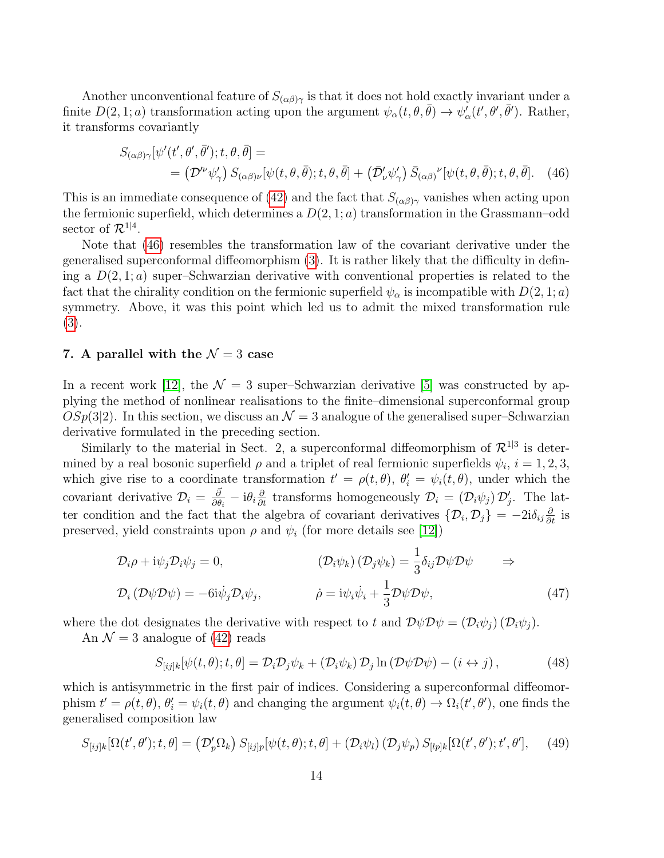Another unconventional feature of  $S_{(\alpha\beta)\gamma}$  is that it does not hold exactly invariant under a finite  $D(2, 1; a)$  transformation acting upon the argument  $\psi_{\alpha}(t, \theta, \bar{\theta}) \to \psi_{\alpha}^{'}(t', \theta', \bar{\theta}')$ . Rather, it transforms covariantly

<span id="page-14-0"></span>
$$
S_{(\alpha\beta)\gamma}[\psi'(t',\theta',\bar{\theta}');t,\theta,\bar{\theta}] =
$$
  
=  $(\mathcal{D}^{\prime\nu}\psi_{\gamma}')$   $S_{(\alpha\beta)\nu}[\psi(t,\theta,\bar{\theta});t,\theta,\bar{\theta}] + (\bar{\mathcal{D}}_{\nu}'\psi_{\gamma}')$   $\bar{S}_{(\alpha\beta)}{}^{\nu}[\psi(t,\theta,\bar{\theta});t,\theta,\bar{\theta}].$  (46)

This is an immediate consequence of [\(42\)](#page-13-3) and the fact that  $S_{(\alpha\beta)\gamma}$  vanishes when acting upon the fermionic superfield, which determines a  $D(2, 1; a)$  transformation in the Grassmann–odd sector of  $\mathcal{R}^{1|4}$ .

Note that [\(46\)](#page-14-0) resembles the transformation law of the covariant derivative under the generalised superconformal diffeomorphism [\(3\)](#page-3-1). It is rather likely that the difficulty in defining a  $D(2,1;a)$  super-Schwarzian derivative with conventional properties is related to the fact that the chirality condition on the fermionic superfield  $\psi_{\alpha}$  is incompatible with  $D(2, 1; a)$ symmetry. Above, it was this point which led us to admit the mixed transformation rule [\(3\)](#page-3-1).

# 7. A parallel with the  $\mathcal{N}=3$  case

In a recent work [\[12\]](#page-21-9), the  $\mathcal{N} = 3$  super–Schwarzian derivative [\[5\]](#page-21-2) was constructed by applying the method of nonlinear realisations to the finite–dimensional superconformal group  $OSp(3|2)$ . In this section, we discuss an  $\mathcal{N}=3$  analogue of the generalised super–Schwarzian derivative formulated in the preceding section.

Similarly to the material in Sect. 2, a superconformal diffeomorphism of  $\mathcal{R}^{1|3}$  is determined by a real bosonic superfield  $\rho$  and a triplet of real fermionic superfields  $\psi_i$ ,  $i = 1, 2, 3$ , which give rise to a coordinate transformation  $t' = \rho(t, \theta)$ ,  $\theta'_i = \psi_i(t, \theta)$ , under which the covariant derivative  $\mathcal{D}_i = \frac{\partial}{\partial \theta_i}$  $\frac{\partial}{\partial \theta_i} - i \theta_i \frac{\partial}{\partial t}$  transforms homogeneously  $\mathcal{D}_i = (\mathcal{D}_i \psi_j) \mathcal{D}'_j$ . The latter condition and the fact that the algebra of covariant derivatives  $\{\mathcal{D}_i, \mathcal{D}_j\} = -2i\delta_{ij}\frac{\partial}{\partial t}$  is preserved, yield constraints upon  $\rho$  and  $\psi_i$  (for more details see [\[12\]](#page-21-9))

$$
\mathcal{D}_{i}\rho + i\psi_{j}\mathcal{D}_{i}\psi_{j} = 0, \qquad (\mathcal{D}_{i}\psi_{k})(\mathcal{D}_{j}\psi_{k}) = \frac{1}{3}\delta_{ij}\mathcal{D}\psi\mathcal{D}\psi \Rightarrow \n\mathcal{D}_{i}(\mathcal{D}\psi\mathcal{D}\psi) = -6i\dot{\psi}_{j}\mathcal{D}_{i}\psi_{j}, \qquad \dot{\rho} = i\psi_{i}\dot{\psi}_{i} + \frac{1}{3}\mathcal{D}\psi\mathcal{D}\psi, \qquad (47)
$$

where the dot designates the derivative with respect to t and  $\mathcal{D}\psi\mathcal{D}\psi = (\mathcal{D}_i\psi_i)(\mathcal{D}_i\psi_i)$ .

An  $\mathcal{N} = 3$  analogue of [\(42\)](#page-13-3) reads

<span id="page-14-2"></span><span id="page-14-1"></span>
$$
S_{[ij]k}[\psi(t,\theta);t,\theta] = \mathcal{D}_i \mathcal{D}_j \psi_k + (\mathcal{D}_i \psi_k) \mathcal{D}_j \ln (\mathcal{D}\psi \mathcal{D}\psi) - (i \leftrightarrow j), \qquad (48)
$$

which is antisymmetric in the first pair of indices. Considering a superconformal diffeomorphism  $t' = \rho(t, \theta)$ ,  $\theta'_i = \psi_i(t, \theta)$  and changing the argument  $\psi_i(t, \theta) \to \Omega_i(t', \theta')$ , one finds the generalised composition law

<span id="page-14-3"></span>
$$
S_{[ij]k}[\Omega(t',\theta');t,\theta] = (\mathcal{D}'_p\Omega_k) S_{[ij]p}[\psi(t,\theta);t,\theta] + (\mathcal{D}_i\psi_l) (\mathcal{D}_j\psi_p) S_{[lp]k}[\Omega(t',\theta');t',\theta'], \quad (49)
$$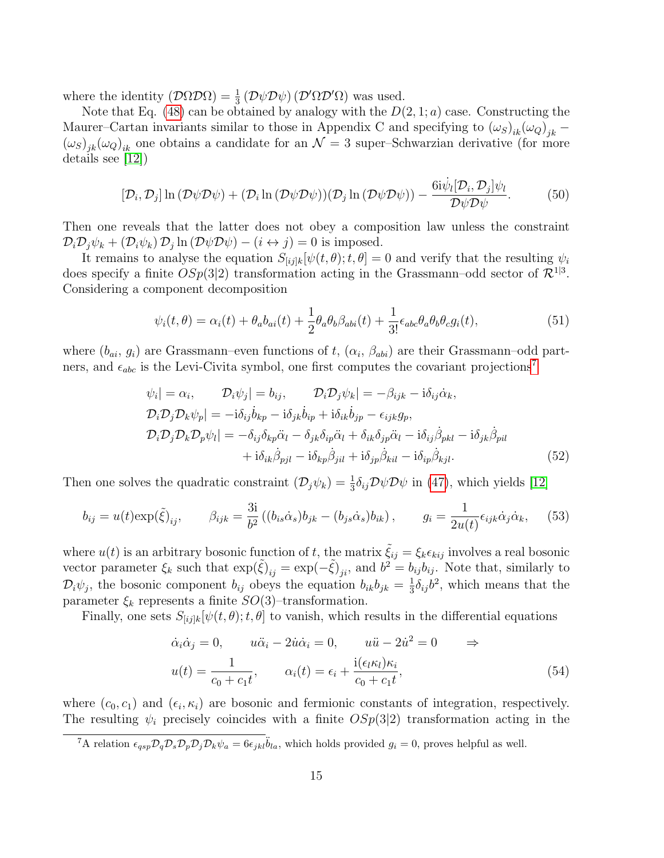where the identity  $(D\Omega \mathcal{D}\Omega) = \frac{1}{3} (D\psi \mathcal{D}\psi) (D'\Omega \mathcal{D}'\Omega)$  was used.

Note that Eq. [\(48\)](#page-14-1) can be obtained by analogy with the  $D(2, 1; a)$  case. Constructing the Maurer–Cartan invariants similar to those in Appendix C and specifying to  $(\omega_S)_{ik}(\omega_Q)_{jk}$  –  $(\omega_S)_{jk}(\omega_Q)_{ik}$  one obtains a candidate for an  $\mathcal{N}=3$  super–Schwarzian derivative (for more details see [\[12\]](#page-21-9))

$$
[\mathcal{D}_i, \mathcal{D}_j] \ln (\mathcal{D}\psi \mathcal{D}\psi) + (\mathcal{D}_i \ln (\mathcal{D}\psi \mathcal{D}\psi))(\mathcal{D}_j \ln (\mathcal{D}\psi \mathcal{D}\psi)) - \frac{6i\dot{\psi}_l[\mathcal{D}_i, \mathcal{D}_j]\psi_l}{\mathcal{D}\psi \mathcal{D}\psi}.
$$
 (50)

Then one reveals that the latter does not obey a composition law unless the constraint  $\mathcal{D}_i \mathcal{D}_j \psi_k + (\mathcal{D}_i \psi_k) \mathcal{D}_j \ln (\mathcal{D} \psi \mathcal{D} \psi) - (i \leftrightarrow j) = 0$  is imposed.

It remains to analyse the equation  $S_{[ij]k}[\psi(t,\theta);t,\theta]=0$  and verify that the resulting  $\psi_i$ does specify a finite  $OSp(3|2)$  transformation acting in the Grassmann-odd sector of  $\mathcal{R}^{1|3}$ . Considering a component decomposition

$$
\psi_i(t,\theta) = \alpha_i(t) + \theta_a b_{ai}(t) + \frac{1}{2} \theta_a \theta_b \beta_{abi}(t) + \frac{1}{3!} \epsilon_{abc} \theta_a \theta_b \theta_c g_i(t), \tag{51}
$$

where  $(b_{ai}, g_i)$  are Grassmann–even functions of t,  $(\alpha_i, \beta_{abi})$  are their Grassmann–odd partners, and  $\epsilon_{abc}$  is the Levi-Civita symbol, one first computes the covariant projections<sup>[7](#page-15-0)</sup>

$$
\psi_i| = \alpha_i, \qquad \mathcal{D}_i \psi_j| = b_{ij}, \qquad \mathcal{D}_i \mathcal{D}_j \psi_k| = -\beta_{ijk} - i\delta_{ij}\dot{\alpha}_k, \n\mathcal{D}_i \mathcal{D}_j \mathcal{D}_k \psi_p| = -i\delta_{ij}\dot{b}_{kp} - i\delta_{jk}\dot{b}_{ip} + i\delta_{ik}\dot{b}_{jp} - \epsilon_{ijk}g_p, \n\mathcal{D}_i \mathcal{D}_j \mathcal{D}_k \mathcal{D}_p \psi_l| = -\delta_{ij}\delta_{kp}\ddot{\alpha}_l - \delta_{jk}\delta_{ip}\ddot{\alpha}_l + \delta_{ik}\delta_{jp}\ddot{\alpha}_l - i\delta_{ij}\dot{\beta}_{pkl} - i\delta_{jk}\dot{\beta}_{pil} \n+ i\delta_{ik}\dot{\beta}_{pjl} - i\delta_{kp}\dot{\beta}_{jil} + i\delta_{jp}\dot{\beta}_{kil} - i\delta_{ip}\dot{\beta}_{kjl}.
$$
\n(52)

Then one solves the quadratic constraint  $(\mathcal{D}_j \psi_k) = \frac{1}{3} \delta_{ij} \mathcal{D} \psi \mathcal{D} \psi$  in [\(47\)](#page-14-2), which yields [\[12\]](#page-21-9)

$$
b_{ij} = u(t) \exp(\tilde{\xi})_{ij}, \qquad \beta_{ijk} = \frac{3i}{b^2} \left( (b_{is}\dot{\alpha}_s) b_{jk} - (b_{js}\dot{\alpha}_s) b_{ik} \right), \qquad g_i = \frac{1}{2u(t)} \epsilon_{ijk}\dot{\alpha}_j \dot{\alpha}_k, \tag{53}
$$

where  $u(t)$  is an arbitrary bosonic function of t, the matrix  $\tilde{\xi}_{ij} = \xi_k \epsilon_{kij}$  involves a real bosonic vector parameter  $\xi_k$  such that  $\exp(\tilde{\xi})_{ij} = \exp(-\tilde{\xi})_{ji}$ , and  $b^2 = b_{ij}b_{ij}$ . Note that, similarly to  $\mathcal{D}_i \psi_j$ , the bosonic component  $b_{ij}$  obeys the equation  $b_{ik} b_{jk} = \frac{1}{3}$  $\frac{1}{3}\delta_{ij}b^2$ , which means that the parameter  $\xi_k$  represents a finite  $SO(3)$ –transformation.

Finally, one sets  $S_{[ij]k}[\psi(t,\theta);t,\theta]$  to vanish, which results in the differential equations

$$
\dot{\alpha}_i \dot{\alpha}_j = 0, \qquad u\ddot{\alpha}_i - 2\dot{u}\dot{\alpha}_i = 0, \qquad u\ddot{u} - 2\dot{u}^2 = 0 \qquad \Rightarrow
$$

$$
u(t) = \frac{1}{c_0 + c_1 t}, \qquad \alpha_i(t) = \epsilon_i + \frac{i(\epsilon_l \kappa_l)\kappa_i}{c_0 + c_1 t}, \tag{54}
$$

where  $(c_0, c_1)$  and  $(\epsilon_i, \kappa_i)$  are bosonic and fermionic constants of integration, respectively. The resulting  $\psi_i$  precisely coincides with a finite  $OSp(3|2)$  transformation acting in the

<span id="page-15-0"></span><sup>&</sup>lt;sup>7</sup>A relation  $\epsilon_{qsp}\mathcal{D}_q\mathcal{D}_s\mathcal{D}_p\mathcal{D}_j\mathcal{D}_k\psi_a = 6\epsilon_{jkl}\ddot{b}_{la}$ , which holds provided  $g_i = 0$ , proves helpful as well.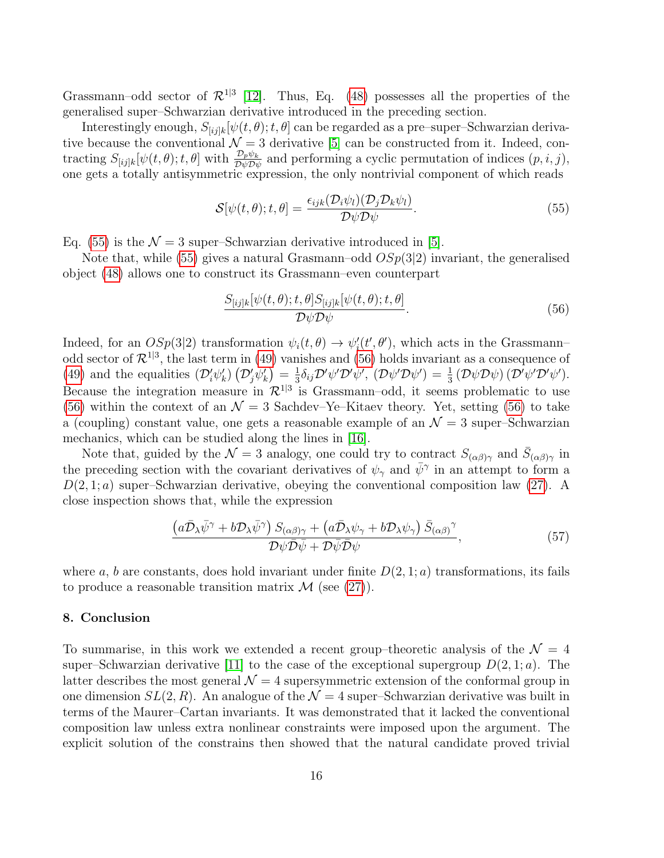Grassmann–odd sector of  $\mathcal{R}^{1|3}$  [\[12\]](#page-21-9). Thus, Eq. [\(48\)](#page-14-1) possesses all the properties of the generalised super–Schwarzian derivative introduced in the preceding section.

Interestingly enough,  $S_{[ijk]}[\psi(t, \theta); t, \theta]$  can be regarded as a pre–super–Schwarzian derivative because the conventional  $\mathcal{N} = 3$  derivative [\[5\]](#page-21-2) can be constructed from it. Indeed, contracting  $S_{[ij]k}[\psi(t,\theta);t,\theta]$  with  $\frac{\mathcal{D}_p\psi_k}{\mathcal{D}\psi\mathcal{D}\psi}$  and performing a cyclic permutation of indices  $(p,i,j)$ , one gets a totally antisymmetric expression, the only nontrivial component of which reads

<span id="page-16-0"></span>
$$
S[\psi(t,\theta);t,\theta] = \frac{\epsilon_{ijk}(\mathcal{D}_i\psi_l)(\mathcal{D}_j\mathcal{D}_k\psi_l)}{\mathcal{D}\psi\mathcal{D}\psi}.
$$
\n(55)

Eq. [\(55\)](#page-16-0) is the  $\mathcal{N} = 3$  super–Schwarzian derivative introduced in [\[5\]](#page-21-2).

Note that, while [\(55\)](#page-16-0) gives a natural Grasmann–odd  $OSp(3|2)$  invariant, the generalised object [\(48\)](#page-14-1) allows one to construct its Grassmann–even counterpart

<span id="page-16-1"></span>
$$
\frac{S_{[ij]k}[\psi(t,\theta);t,\theta]S_{[ij]k}[\psi(t,\theta);t,\theta]}{\mathcal{D}\psi\mathcal{D}\psi}.
$$
\n(56)

Indeed, for an  $OSp(3|2)$  transformation  $\psi_i(t, \theta) \to \psi'_i(t', \theta')$ , which acts in the Grassmannodd sector of  $\mathcal{R}^{1|3}$ , the last term in [\(49\)](#page-14-3) vanishes and [\(56\)](#page-16-1) holds invariant as a consequence of [\(49\)](#page-14-3) and the equalities  $(\mathcal{D}'_i\psi'_k)(\mathcal{D}'_j\psi'_k) = \frac{1}{3}$  $\frac{1}{3}\delta_{ij}\mathcal{D}'\psi'\mathcal{D}'\psi',\ (\mathcal{D}\psi'\mathcal{D}\psi')=\frac{1}{3}\left(\mathcal{D}\psi\mathcal{D}\psi\right)(\mathcal{D}'\psi'\mathcal{D}'\psi').$ Because the integration measure in  $\mathcal{R}^{1|3}$  is Grassmann-odd, it seems problematic to use [\(56\)](#page-16-1) within the context of an  $\mathcal{N}=3$  Sachdev–Ye–Kitaev theory. Yet, setting (56) to take a (coupling) constant value, one gets a reasonable example of an  $\mathcal{N}=3$  super–Schwarzian mechanics, which can be studied along the lines in [\[16\]](#page-22-1).

Note that, guided by the  $\mathcal{N}=3$  analogy, one could try to contract  $S_{(\alpha\beta)\gamma}$  and  $\bar{S}_{(\alpha\beta)\gamma}$  in the preceding section with the covariant derivatives of  $\psi_{\gamma}$  and  $\bar{\psi}^{\gamma}$  in an attempt to form a  $D(2, 1; a)$  super–Schwarzian derivative, obeying the conventional composition law [\(27\)](#page-9-1). A close inspection shows that, while the expression

$$
\frac{\left(a\bar{\mathcal{D}}_{\lambda}\bar{\psi}^{\gamma}+b\mathcal{D}_{\lambda}\bar{\psi}^{\gamma}\right)S_{(\alpha\beta)\gamma}+\left(a\bar{\mathcal{D}}_{\lambda}\psi_{\gamma}+b\mathcal{D}_{\lambda}\psi_{\gamma}\right)\bar{S}_{(\alpha\beta)}^{\gamma}}{\mathcal{D}\psi\bar{\mathcal{D}}\bar{\psi}+\mathcal{D}\bar{\psi}\bar{\mathcal{D}}\psi},\tag{57}
$$

where a, b are constants, does hold invariant under finite  $D(2, 1; a)$  transformations, its fails to produce a reasonable transition matrix  $\mathcal{M}$  (see [\(27\)](#page-9-1)).

# 8. Conclusion

To summarise, in this work we extended a recent group–theoretic analysis of the  $\mathcal{N} = 4$ super–Schwarzian derivative [\[11\]](#page-21-8) to the case of the exceptional supergroup  $D(2, 1; a)$ . The latter describes the most general  $\mathcal{N} = 4$  supersymmetric extension of the conformal group in one dimension  $SL(2, R)$ . An analogue of the  $\mathcal{N} = 4$  super–Schwarzian derivative was built in terms of the Maurer–Cartan invariants. It was demonstrated that it lacked the conventional composition law unless extra nonlinear constraints were imposed upon the argument. The explicit solution of the constrains then showed that the natural candidate proved trivial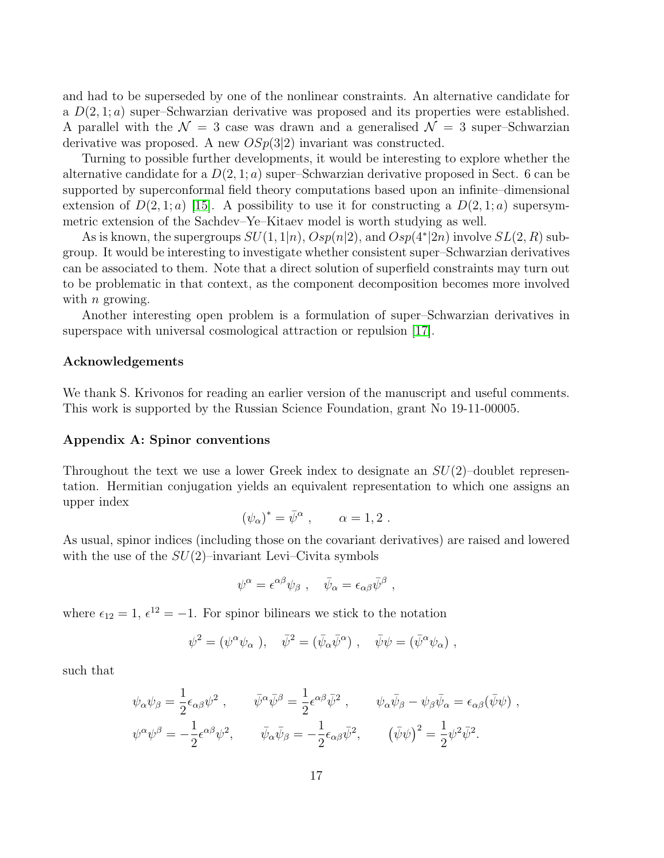and had to be superseded by one of the nonlinear constraints. An alternative candidate for a  $D(2, 1; a)$  super–Schwarzian derivative was proposed and its properties were established. A parallel with the  $\mathcal{N} = 3$  case was drawn and a generalised  $\mathcal{N} = 3$  super–Schwarzian derivative was proposed. A new  $OSp(3|2)$  invariant was constructed.

Turning to possible further developments, it would be interesting to explore whether the alternative candidate for a  $D(2, 1; a)$  super-Schwarzian derivative proposed in Sect. 6 can be supported by superconformal field theory computations based upon an infinite–dimensional extension of  $D(2,1;a)$  [\[15\]](#page-22-0). A possibility to use it for constructing a  $D(2,1;a)$  supersymmetric extension of the Sachdev–Ye–Kitaev model is worth studying as well.

As is known, the supergroups  $SU(1,1|n)$ ,  $Osp(n|2)$ , and  $Osp(4^*|2n)$  involve  $SL(2,R)$  subgroup. It would be interesting to investigate whether consistent super–Schwarzian derivatives can be associated to them. Note that a direct solution of superfield constraints may turn out to be problematic in that context, as the component decomposition becomes more involved with  $n$  growing.

Another interesting open problem is a formulation of super–Schwarzian derivatives in superspace with universal cosmological attraction or repulsion [\[17\]](#page-22-2).

# Acknowledgements

We thank S. Krivonos for reading an earlier version of the manuscript and useful comments. This work is supported by the Russian Science Foundation, grant No 19-11-00005.

# Appendix A: Spinor conventions

Throughout the text we use a lower Greek index to designate an  $SU(2)$ –doublet representation. Hermitian conjugation yields an equivalent representation to which one assigns an upper index

$$
(\psi_\alpha)^* = \bar{\psi}^\alpha \ , \qquad \alpha = 1, 2 \ .
$$

As usual, spinor indices (including those on the covariant derivatives) are raised and lowered with the use of the  $SU(2)$ –invariant Levi–Civita symbols

$$
\psi^{\alpha} = \epsilon^{\alpha \beta} \psi_{\beta} \ , \quad \bar{\psi}_{\alpha} = \epsilon_{\alpha \beta} \bar{\psi}^{\beta} \ ,
$$

where  $\epsilon_{12} = 1, \, \epsilon^{12} = -1.$  For spinor bilinears we stick to the notation

$$
\psi^2 = (\psi^\alpha \psi_\alpha), \quad \bar{\psi}^2 = (\bar{\psi}_\alpha \bar{\psi}^\alpha), \quad \bar{\psi}\psi = (\bar{\psi}^\alpha \psi_\alpha) ,
$$

such that

$$
\psi_{\alpha}\psi_{\beta} = \frac{1}{2}\epsilon_{\alpha\beta}\psi^2 , \qquad \bar{\psi}^{\alpha}\bar{\psi}^{\beta} = \frac{1}{2}\epsilon^{\alpha\beta}\bar{\psi}^2 , \qquad \psi_{\alpha}\bar{\psi}_{\beta} - \psi_{\beta}\bar{\psi}_{\alpha} = \epsilon_{\alpha\beta}(\bar{\psi}\psi) ,
$$
  

$$
\psi^{\alpha}\psi^{\beta} = -\frac{1}{2}\epsilon^{\alpha\beta}\psi^2 , \qquad \bar{\psi}_{\alpha}\bar{\psi}_{\beta} = -\frac{1}{2}\epsilon_{\alpha\beta}\bar{\psi}^2 , \qquad (\bar{\psi}\psi)^2 = \frac{1}{2}\psi^2\bar{\psi}^2 .
$$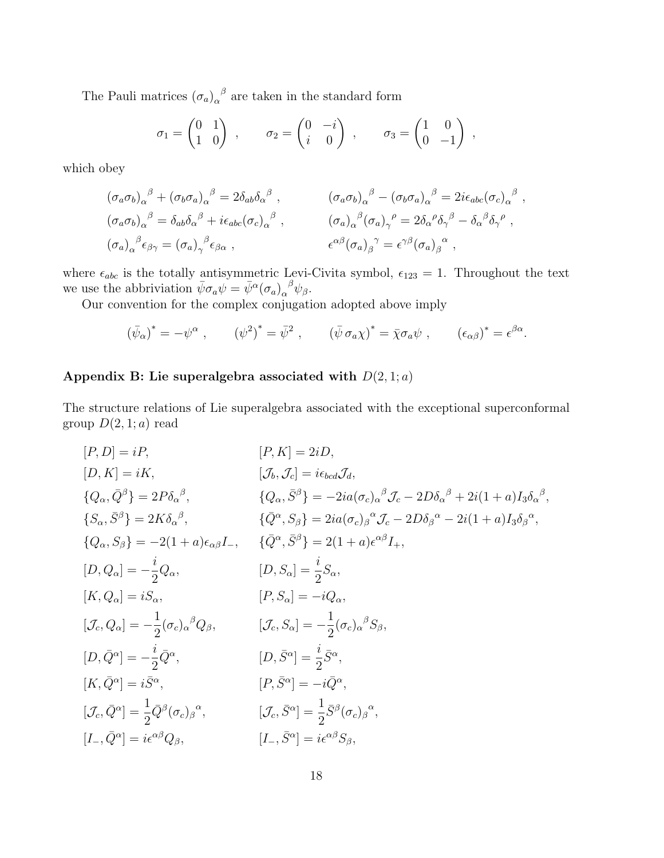The Pauli matrices  $(\sigma_a)_{\alpha}^{\beta}$  are taken in the standard form

$$
\sigma_1 = \begin{pmatrix} 0 & 1 \\ 1 & 0 \end{pmatrix} , \qquad \sigma_2 = \begin{pmatrix} 0 & -i \\ i & 0 \end{pmatrix} , \qquad \sigma_3 = \begin{pmatrix} 1 & 0 \\ 0 & -1 \end{pmatrix} ,
$$

which obey

$$
(\sigma_a \sigma_b)_{\alpha}^{\ \beta} + (\sigma_b \sigma_a)_{\alpha}^{\ \beta} = 2\delta_{ab}\delta_{\alpha}^{\ \beta} , \qquad (\sigma_a \sigma_b)_{\alpha}^{\ \beta} - (\sigma_b \sigma_a)_{\alpha}^{\ \beta} = 2i\epsilon_{abc}(\sigma_c)_{\alpha}^{\ \beta} ,
$$
  
\n
$$
(\sigma_a \sigma_b)_{\alpha}^{\ \beta} = \delta_{ab}\delta_{\alpha}^{\ \beta} + i\epsilon_{abc}(\sigma_c)_{\alpha}^{\ \beta} , \qquad (\sigma_a)_{\alpha}^{\ \beta}(\sigma_a)_{\gamma}^{\ \rho} = 2\delta_{\alpha}^{\ \rho}\delta_{\gamma}^{\ \beta} - \delta_{\alpha}^{\ \beta}\delta_{\gamma}^{\ \rho} ,
$$
  
\n
$$
(\sigma_a)_{\alpha}^{\ \beta} \epsilon_{\beta\gamma} = (\sigma_a)_{\gamma}^{\ \beta} \epsilon_{\beta\alpha} , \qquad \epsilon^{\alpha\beta}(\sigma_a)_{\beta}^{\ \gamma} = \epsilon^{\gamma\beta}(\sigma_a)_{\beta}^{\ \alpha} ,
$$

where  $\epsilon_{abc}$  is the totally antisymmetric Levi-Civita symbol,  $\epsilon_{123} = 1$ . Throughout the text we use the abbriviation  $\bar{\psi}\sigma_a\psi = \bar{\psi}^{\alpha}(\sigma_a)_{\alpha}^{\ \beta}\psi_{\beta}$ .

Our convention for the complex conjugation adopted above imply

$$
(\bar{\psi}_{\alpha})^* = -\psi^{\alpha} , \qquad (\psi^2)^* = \bar{\psi}^2 , \qquad (\bar{\psi} \sigma_{\alpha} \chi)^* = \bar{\chi} \sigma_{\alpha} \psi , \qquad (\epsilon_{\alpha \beta})^* = \epsilon^{\beta \alpha} .
$$

# Appendix B: Lie superalgebra associated with  $D(2,1;a)$

The structure relations of Lie superalgebra associated with the exceptional superconformal group  $D(2, 1; a)$  read

$$
[P, D] = iP,
$$
\n
$$
[D, K] = iK,
$$
\n
$$
[J_b, J_c] = i\epsilon_{bcd}J_d,
$$
\n
$$
\{Q_{\alpha}, \bar{Q}^{\beta}\} = 2P\delta_{\alpha}{}^{\beta},
$$
\n
$$
\{Q_{\alpha}, \bar{S}^{\beta}\} = -2ia(\sigma_c)_{\alpha}{}^{\beta}J_c - 2D\delta_{\alpha}{}^{\beta} + 2i(1+a)I_3\delta_{\alpha}{}^{\beta},
$$
\n
$$
\{S_{\alpha}, \bar{S}^{\beta}\} = 2K\delta_{\alpha}{}^{\beta},
$$
\n
$$
\{Q^{\alpha}, S_{\beta}\} = 2ia(\sigma_c)_{\beta}{}^{\alpha}J_c - 2D\delta_{\beta}{}^{\alpha} - 2i(1+a)I_3\delta_{\beta}{}^{\alpha},
$$
\n
$$
\{Q_{\alpha}, S_{\beta}\} = -2(1+a)\epsilon_{\alpha\beta}I_{-},
$$
\n
$$
\{Q^{\alpha}, \bar{S}^{\beta}\} = 2(1+a)\epsilon^{\alpha\beta}I_{+},
$$
\n
$$
[D, Q_{\alpha}] = -\frac{i}{2}Q_{\alpha},
$$
\n
$$
[D, S_{\alpha}] = \frac{i}{2}S_{\alpha},
$$
\n
$$
[K, Q_{\alpha}] = iS_{\alpha},
$$
\n
$$
[P, S_{\alpha}] = -iQ_{\alpha},
$$
\n
$$
[J_c, S_{\alpha}] = -\frac{1}{2}(\sigma_c)_{\alpha}{}^{\beta}S_{\beta},
$$
\n
$$
[D, \bar{Q}^{\alpha}] = -\frac{i}{2}\bar{Q}^{\alpha},
$$
\n
$$
[D, \bar{S}^{\alpha}] = \frac{i}{2}\bar{S}^{\alpha},
$$
\n
$$
[K, \bar{Q}^{\alpha}] = i\bar{S}^{\alpha},
$$
\n
$$
[K, \bar{Q}^{\alpha}] = \frac{1}{2}\bar{Q}^{\beta}(\sigma_c)_{\beta}{}^{\alpha},
$$
\n
$$
[J_c, \bar{S}^{\alpha}] = \frac{1}{2}\bar{S}^{\beta}(\sigma_c)_{\beta}{}^{\alpha},
$$
\n
$$
[L
$$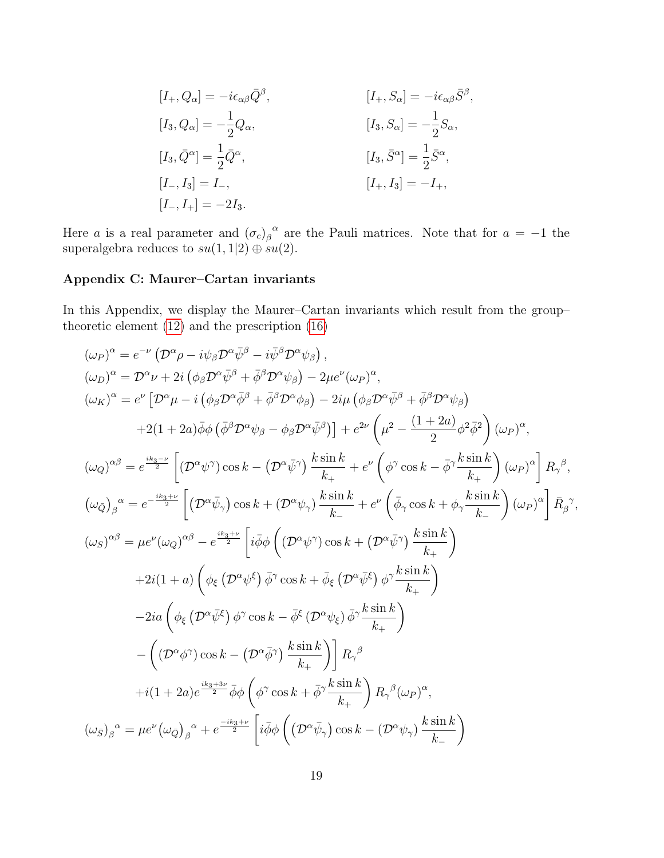$$
[I_{+}, Q_{\alpha}] = -i\epsilon_{\alpha\beta}\bar{Q}^{\beta}, \qquad [I_{+}, S_{\alpha}] = -i\epsilon_{\alpha\beta}\bar{S}^{\beta},
$$
  
\n
$$
[I_{3}, Q_{\alpha}] = -\frac{1}{2}Q_{\alpha}, \qquad [I_{3}, S_{\alpha}] = -\frac{1}{2}S_{\alpha},
$$
  
\n
$$
[I_{3}, \bar{Q}^{\alpha}] = \frac{1}{2}\bar{Q}^{\alpha}, \qquad [I_{3}, \bar{S}^{\alpha}] = \frac{1}{2}\bar{S}^{\alpha},
$$
  
\n
$$
[I_{-}, I_{3}] = I_{-}, \qquad [I_{+}, I_{3}] = -I_{+},
$$
  
\n
$$
[I_{-}, I_{+}] = -2I_{3}.
$$

Here a is a real parameter and  $(\sigma_c)_\beta^{\alpha}$  are the Pauli matrices. Note that for  $a = -1$  the superalgebra reduces to  $su(1,1|2) \oplus su(2)$ .

# Appendix C: Maurer–Cartan invariants

In this Appendix, we display the Maurer–Cartan invariants which result from the group– theoretic element [\(12\)](#page-5-0) and the prescription [\(16\)](#page-7-4)

$$
(\omega_{P})^{\alpha} = e^{-\nu} (D^{\alpha} \rho - i \psi_{\beta} D^{\alpha} \bar{\psi}^{\beta} - i \bar{\psi}^{\beta} D^{\alpha} \psi_{\beta}),
$$
  
\n
$$
(\omega_{D})^{\alpha} = D^{\alpha} \nu + 2i (\phi_{\beta} D^{\alpha} \bar{\psi}^{\beta} + \bar{\phi}^{\beta} D^{\alpha} \psi_{\beta}) - 2\mu e^{\nu} (\omega_{P})^{\alpha},
$$
  
\n
$$
(\omega_{K})^{\alpha} = e^{\nu} [D^{\alpha} \mu - i (\phi_{\beta} D^{\alpha} \bar{\phi}^{\beta} + \bar{\phi}^{\beta} D^{\alpha} \phi_{\beta}) - 2i\mu (\phi_{\beta} D^{\alpha} \bar{\psi}^{\beta} + \bar{\phi}^{\beta} D^{\alpha} \psi_{\beta})
$$
  
\n
$$
+2(1 + 2a) \bar{\phi} \phi (\bar{\phi}^{\beta} D^{\alpha} \psi_{\beta} - \phi_{\beta} D^{\alpha} \bar{\psi}^{\beta})] + e^{2\nu} (\mu^{2} - \frac{(1 + 2a)}{2} \phi^{2} \bar{\phi}^{2}) (\omega_{P})^{\alpha},
$$
  
\n
$$
(\omega_{Q})^{\alpha\beta} = e^{\frac{ik_{3} - \nu}{2}} [ (D^{\alpha} \psi^{\gamma}) \cos k - (D^{\alpha} \bar{\psi}^{\gamma}) \frac{k \sin k}{k_{+}} + e^{\nu} (\bar{\phi}^{\gamma} \cos k - \bar{\phi}^{\gamma} \frac{k \sin k}{k_{+}}) (\omega_{P})^{\alpha} ] R_{\gamma}^{\beta},
$$
  
\n
$$
(\omega_{Q})_{\beta}^{\alpha} = e^{-\frac{ik_{3} + \nu}{2}} [ (D^{\alpha} \bar{\psi}_{\gamma}) \cos k + (D^{\alpha} \psi_{\gamma}) \frac{k \sin k}{k_{-}} + e^{\nu} (\bar{\phi}_{\gamma} \cos k + \phi_{\gamma} \frac{k \sin k}{k_{+}}) (\omega_{P})^{\alpha} ] R_{\beta}^{\beta},
$$
  
\n
$$
+2i(1 + a) (\phi_{\xi} (D^{\alpha} \psi^{\xi}) \bar{\phi}^{\gamma} \cos k + \bar{\phi}_{\xi} (D^{\alpha} \bar{\psi}^{\xi}) \phi^{\
$$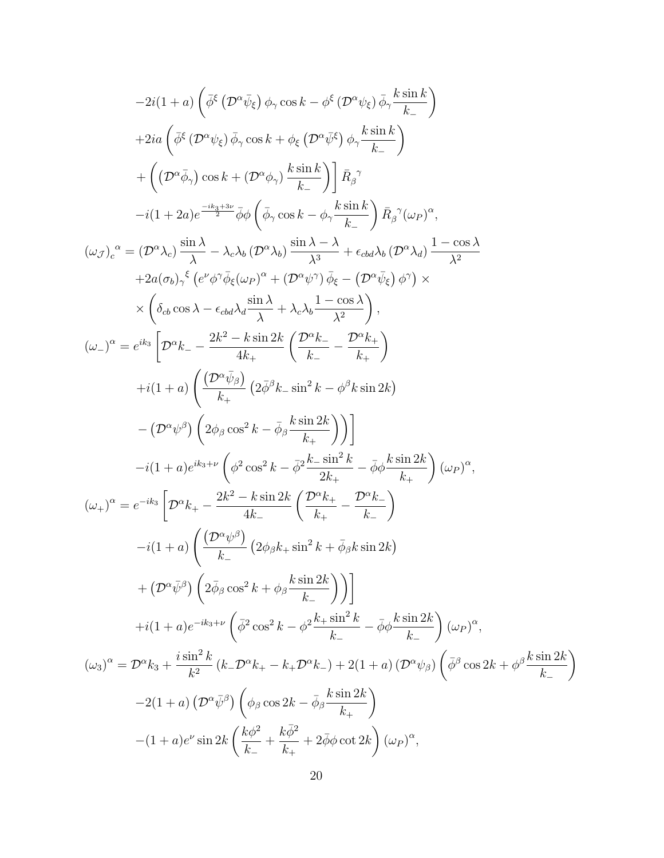$$
-2i(1+a)\left(\bar{\phi}^{\xi}\left(\mathcal{D}^{\alpha}\bar{\psi}_{\xi}\right)\phi_{\gamma}\cos k-\phi^{\xi}\left(\mathcal{D}^{\alpha}\psi_{\xi}\right)\bar{\phi}_{\gamma}\frac{k\sin k}{k}\right) +2i a\left(\bar{\phi}^{\xi}\left(\mathcal{D}^{\alpha}\psi_{\xi}\right)\bar{\phi}_{\gamma}\cos k+\phi_{\xi}\left(\mathcal{D}^{\alpha}\bar{\psi}^{\xi}\right)\phi_{\gamma}\frac{k\sin k}{k}\right) + \left(\left(\mathcal{D}^{\alpha}\bar{\phi}_{\gamma}\right)\cos k+\left(\mathcal{D}^{\alpha}\phi_{\gamma}\right)\frac{k\sin k}{k}\right)\bar{R}_{\beta}^{\gamma} -i(1+2a)e^{\frac{-ik_{1}+3c}{2}}\bar{\phi}\phi\left(\bar{\phi}_{\gamma}\cos k-\phi_{\gamma}\frac{k\sin k}{k}\right)\bar{R}_{\beta}^{\gamma}(\omega_{P})^{\alpha}, (\omega_{\mathcal{J}})_{\alpha}^{\alpha} = (\mathcal{D}^{\alpha}\lambda_{\alpha})\frac{\sin \lambda}{\lambda} - \lambda_{\alpha} \lambda_{b}(\mathcal{D}^{\alpha}\lambda_{b})\frac{\sin \lambda - \lambda}{\lambda} + \epsilon_{\alpha b} \lambda_{b}(\mathcal{D}^{\alpha}\lambda_{d})\frac{1-\cos \lambda}{\lambda^{2}} +2a(\sigma_{b})_{\gamma}^{\xi}\left(e^{\omega}\phi_{\gamma}\bar{\phi}_{\xi}(\omega_{P})^{\alpha} + (\mathcal{D}^{\alpha}\psi^{\gamma})\bar{\phi}_{\xi} - (\mathcal{D}^{\alpha}\bar{\psi}_{\xi})\phi^{\gamma}\right) \times \times \left(\delta_{cb}\cos \lambda - \epsilon_{cd}\lambda_{d}\frac{\sin \lambda}{\lambda} + \lambda_{c}\lambda_{b}\frac{1-\cos \lambda}{\lambda^{2}}\right), (\omega_{-})^{\alpha} = e^{ik_{\alpha}}\left[\mathcal{D}^{\alpha}k_{-} - \frac{2k^{2}-k\sin 2k}{4k_{+}}\left(\frac{\mathcal{D}^{\alpha}k_{-}}{k_{-}} - \frac{\mathcal{D}^{\alpha}k_{+}}{k_{+}}\right) +i(1+a)\left(\frac{(\mathcal{D}^{\alpha}\bar{\psi}_{\beta})}{k_{+}}\left(2\bar{\phi}^{\beta}k_{-}\sin^{2
$$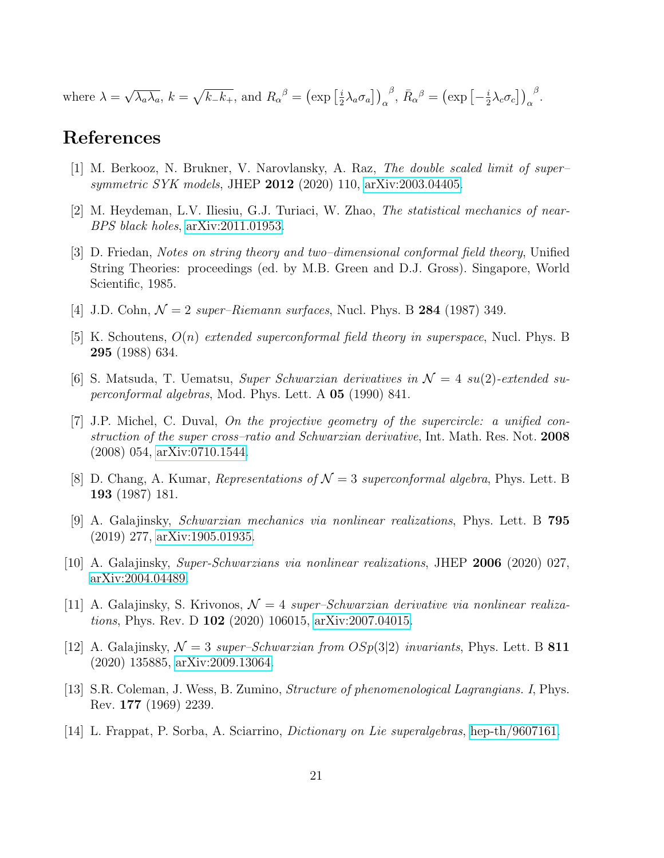where  $\lambda =$ √  $\overline{\lambda_a \lambda_a}$ ,  $k = \sqrt{k_- k_+}$ , and  $R_{\alpha}{}^{\beta} = (\exp \left[ \frac{i}{2} \right]$  $\left. \frac{i}{2} \lambda_a \sigma_a \right] \Big)_\alpha$ <sup>β</sup>,  $\bar{R}_{\alpha}{}^{\beta} = (\exp[-\frac{i}{2})$  $\left. \frac{i}{2} \lambda_c \sigma_c \right] \big)_\alpha$  $\frac{\beta}{\cdot}$ 

# References

- <span id="page-21-12"></span>[1] M. Berkooz, N. Brukner, V. Narovlansky, A. Raz, The double scaled limit of super– symmetric SYK models, JHEP 2012 (2020) 110, [arXiv:2003.04405.](http://arxiv.org/abs/2003.04405)
- <span id="page-21-13"></span>[2] M. Heydeman, L.V. Iliesiu, G.J. Turiaci, W. Zhao, The statistical mechanics of near-BPS black holes, [arXiv:2011.01953.](http://arxiv.org/abs/2011.01953)
- <span id="page-21-0"></span>[3] D. Friedan, Notes on string theory and two–dimensional conformal field theory, Unified String Theories: proceedings (ed. by M.B. Green and D.J. Gross). Singapore, World Scientific, 1985.
- <span id="page-21-1"></span>[4] J.D. Cohn,  $\mathcal{N} = 2$  super–Riemann surfaces, Nucl. Phys. B 284 (1987) 349.
- <span id="page-21-2"></span>[5] K. Schoutens,  $O(n)$  extended superconformal field theory in superspace, Nucl. Phys. B 295 (1988) 634.
- <span id="page-21-3"></span>[6] S. Matsuda, T. Uematsu, Super Schwarzian derivatives in  $\mathcal{N} = 4$  su(2)-extended superconformal algebras, Mod. Phys. Lett. A 05 (1990) 841.
- <span id="page-21-4"></span>[7] J.P. Michel, C. Duval, On the projective geometry of the supercircle: a unified construction of the super cross–ratio and Schwarzian derivative, Int. Math. Res. Not. 2008 (2008) 054, [arXiv:0710.1544.](http://arxiv.org/abs/0710.1544)
- <span id="page-21-5"></span>[8] D. Chang, A. Kumar, Representations of  $\mathcal{N}=3$  superconformal algebra, Phys. Lett. B 193 (1987) 181.
- <span id="page-21-6"></span>[9] A. Galajinsky, Schwarzian mechanics via nonlinear realizations, Phys. Lett. B 795 (2019) 277, [arXiv:1905.01935.](http://arxiv.org/abs/1905.01935)
- <span id="page-21-7"></span>[10] A. Galajinsky, Super-Schwarzians via nonlinear realizations, JHEP 2006 (2020) 027, [arXiv:2004.04489.](http://arxiv.org/abs/2004.04489)
- <span id="page-21-8"></span>[11] A. Galajinsky, S. Krivonos,  $\mathcal{N} = 4$  super–Schwarzian derivative via nonlinear realizations, Phys. Rev. D 102 (2020) 106015, [arXiv:2007.04015.](http://arxiv.org/abs/2007.04015)
- <span id="page-21-9"></span>[12] A. Galajinsky,  $\mathcal{N} = 3$  super–Schwarzian from  $OSp(3|2)$  invariants, Phys. Lett. B 811 (2020) 135885, [arXiv:2009.13064.](http://arxiv.org/abs/2009.13064)
- <span id="page-21-10"></span>[13] S.R. Coleman, J. Wess, B. Zumino, Structure of phenomenological Lagrangians. I, Phys. Rev. 177 (1969) 2239.
- <span id="page-21-11"></span>[14] L. Frappat, P. Sorba, A. Sciarrino, Dictionary on Lie superalgebras, [hep-th/9607161.](http://arxiv.org/abs/hep-th/9607161)